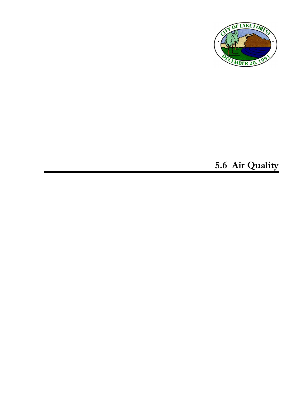

# **5.6 Air Quality**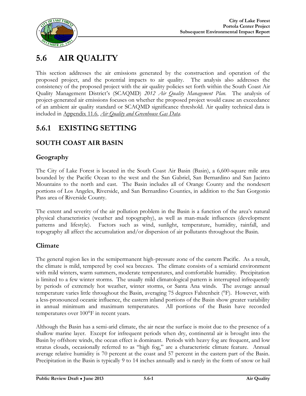

# **5.6 AIR QUALITY**

This section addresses the air emissions generated by the construction and operation of the proposed project, and the potential impacts to air quality. The analysis also addresses the consistency of the proposed project with the air quality policies set forth within the South Coast Air Quality Management District's (SCAQMD) *2012 Air Quality Management Plan*. The analysis of project-generated air emissions focuses on whether the proposed project would cause an exceedance of an ambient air quality standard or SCAQMD significance threshold. Air quality technical data is included in Appendix 11.6, *Air Quality and Greenhouse Gas Data*.

# **5.6.1 EXISTING SETTING**

# **SOUTH COAST AIR BASIN**

# **Geography**

The City of Lake Forest is located in the South Coast Air Basin (Basin), a 6,600-square mile area bounded by the Pacific Ocean to the west and the San Gabriel, San Bernardino and San Jacinto Mountains to the north and east. The Basin includes all of Orange County and the nondesert portions of Los Angeles, Riverside, and San Bernardino Counties, in addition to the San Gorgonio Pass area of Riverside County.

The extent and severity of the air pollution problem in the Basin is a function of the area's natural physical characteristics (weather and topography), as well as man-made influences (development patterns and lifestyle). Factors such as wind, sunlight, temperature, humidity, rainfall, and topography all affect the accumulation and/or dispersion of air pollutants throughout the Basin.

# **Climate**

The general region lies in the semipermanent high-pressure zone of the eastern Pacific. As a result, the climate is mild, tempered by cool sea breezes. The climate consists of a semiarid environment with mild winters, warm summers, moderate temperatures, and comfortable humidity. Precipitation is limited to a few winter storms. The usually mild climatological pattern is interrupted infrequently by periods of extremely hot weather, winter storms, or Santa Ana winds. The average annual temperature varies little throughout the Basin, averaging 75 degrees Fahrenheit (°F). However, with a less-pronounced oceanic influence, the eastern inland portions of the Basin show greater variability in annual minimum and maximum temperatures. All portions of the Basin have recorded temperatures over 100°F in recent years.

Although the Basin has a semi-arid climate, the air near the surface is moist due to the presence of a shallow marine layer. Except for infrequent periods when dry, continental air is brought into the Basin by offshore winds, the ocean effect is dominant. Periods with heavy fog are frequent, and low stratus clouds, occasionally referred to as "high fog," are a characteristic climate feature. Annual average relative humidity is 70 percent at the coast and 57 percent in the eastern part of the Basin. Precipitation in the Basin is typically 9 to 14 inches annually and is rarely in the form of snow or hail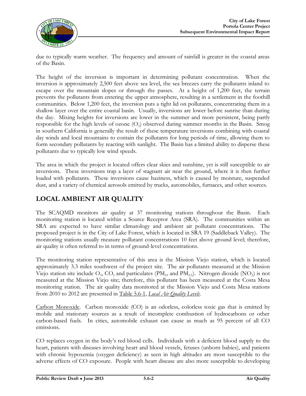

due to typically warm weather. The frequency and amount of rainfall is greater in the coastal areas of the Basin.

The height of the inversion is important in determining pollutant concentration. When the inversion is approximately 2,500 feet above sea level, the sea breezes carry the pollutants inland to escape over the mountain slopes or through the passes. At a height of 1,200 feet, the terrain prevents the pollutants from entering the upper atmosphere, resulting in a settlement in the foothill communities. Below 1,200 feet, the inversion puts a tight lid on pollutants, concentrating them in a shallow layer over the entire coastal basin. Usually, inversions are lower before sunrise than during the day. Mixing heights for inversions are lower in the summer and more persistent, being partly responsible for the high levels of ozone (O<sub>3</sub>) observed during summer months in the Basin. Smog in southern California is generally the result of these temperature inversions combining with coastal day winds and local mountains to contain the pollutants for long periods of time, allowing them to form secondary pollutants by reacting with sunlight. The Basin has a limited ability to disperse these pollutants due to typically low wind speeds.

The area in which the project is located offers clear skies and sunshine, yet is still susceptible to air inversions. These inversions trap a layer of stagnant air near the ground, where it is then further loaded with pollutants. These inversions cause haziness, which is caused by moisture, suspended dust, and a variety of chemical aerosols emitted by trucks, automobiles, furnaces, and other sources.

# **LOCAL AMBIENT AIR QUALITY**

The SCAQMD monitors air quality at 37 monitoring stations throughout the Basin. Each monitoring station is located within a Source Receptor Area (SRA). The communities within an SRA are expected to have similar climatology and ambient air pollutant concentrations. The proposed project is in the City of Lake Forest, which is located in SRA 19 (Saddleback Valley). The monitoring stations usually measure pollutant concentrations 10 feet above ground level; therefore, air quality is often referred to in terms of ground-level concentrations.

The monitoring station representative of this area is the Mission Viejo station, which is located approximately 3.3 miles southwest of the project site. The air pollutants measured at the Mission Viejo station site include  $O_3$ , CO, and particulates (PM<sub>10</sub> and PM<sub>2.5</sub>). Nitrogen dioxide (NO<sub>2</sub>) is not measured at the Mission Viejo site; therefore, this pollutant has been measured at the Costa Mesa monitoring station. The air quality data monitored at the Mission Viejo and Costa Mesa stations from 2010 to 2012 are presented in Table 5.6-1, *Local Air Quality Levels*.

Carbon Monoxide. Carbon monoxide (CO) is an odorless, colorless toxic gas that is emitted by mobile and stationary sources as a result of incomplete combustion of hydrocarbons or other carbon-based fuels. In cities, automobile exhaust can cause as much as 95 percent of all CO emissions.

CO replaces oxygen in the body's red blood cells. Individuals with a deficient blood supply to the heart, patients with diseases involving heart and blood vessels, fetuses (unborn babies), and patients with chronic hypoxemia (oxygen deficiency) as seen in high altitudes are most susceptible to the adverse effects of CO exposure. People with heart disease are also more susceptible to developing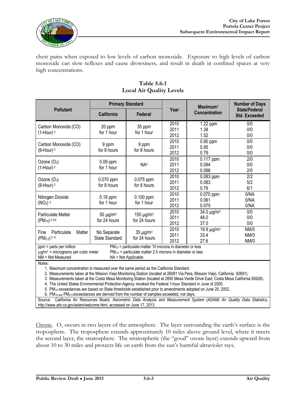

chest pains when exposed to low levels of carbon monoxide. Exposure to high levels of carbon monoxide can slow reflexes and cause drowsiness, and result in death in confined spaces at very high concentrations.

|                                                                                                                                                                                                                                              | <b>Primary Standard</b>  |                                                               |               | $Maximum1$             | <b>Number of Days</b>                 |  |  |
|----------------------------------------------------------------------------------------------------------------------------------------------------------------------------------------------------------------------------------------------|--------------------------|---------------------------------------------------------------|---------------|------------------------|---------------------------------------|--|--|
| <b>Pollutant</b>                                                                                                                                                                                                                             | California               | <b>Federal</b>                                                | Year          | <b>Concentration</b>   | State/Federal<br><b>Std. Exceeded</b> |  |  |
| Carbon Monoxide (CO)                                                                                                                                                                                                                         | 20 ppm                   | 35 ppm                                                        | 2010          | 1.22 ppm               | 0/0                                   |  |  |
| $(1-Hour)$ <sup>2</sup>                                                                                                                                                                                                                      | for 1 hour               | for 1 hour                                                    | 2011<br>2012  | 1.38<br>1.52           | 0/0<br>0/0                            |  |  |
|                                                                                                                                                                                                                                              |                          |                                                               | 2010          | $0.90$ ppm             | 0/0                                   |  |  |
| Carbon Monoxide (CO)                                                                                                                                                                                                                         | 9 ppm                    | 9 ppm                                                         | 2011          | 0.95                   | 0/0                                   |  |  |
| $(8-Hour)$ <sup>2</sup>                                                                                                                                                                                                                      | for 8 hours              | for 8 hours                                                   | 2012          | 0.79                   | 0/0                                   |  |  |
| Ozone (O <sub>3</sub> )                                                                                                                                                                                                                      | $0.09$ ppm               |                                                               | 2010          | $0.117$ ppm            | 2/0                                   |  |  |
| $(1-Hour)2$                                                                                                                                                                                                                                  | for 1 hour               | NA <sup>4</sup>                                               | 2011          | 0.094                  | 0/0                                   |  |  |
|                                                                                                                                                                                                                                              |                          |                                                               | 2012          | 0.096                  | 2/0                                   |  |  |
| Ozone (O <sub>3</sub> )                                                                                                                                                                                                                      | 0.070 ppm<br>for 8 hours | 0.075 ppm<br>for 8 hours                                      | 2010          | 0.083 ppm              | 2/2                                   |  |  |
| $(8$ -Hour) $2$                                                                                                                                                                                                                              |                          |                                                               | 2011          | 0.083                  | 5/2                                   |  |  |
|                                                                                                                                                                                                                                              |                          |                                                               | 2012          | 0.79                   | 6/1                                   |  |  |
| Nitrogen Dioxide                                                                                                                                                                                                                             | $0.18$ ppm<br>for 1 hour | 0.100 ppm<br>for 1 hour                                       | 2010          | $\overline{0.070}$ ppm | 0/NA                                  |  |  |
| $(NO2)$ <sup>3</sup>                                                                                                                                                                                                                         |                          |                                                               | 2011          | 0.061                  | 0/NA                                  |  |  |
|                                                                                                                                                                                                                                              |                          |                                                               | 2012<br>0.075 |                        | 0/NA                                  |  |  |
| <b>Particulate Matter</b>                                                                                                                                                                                                                    | $50 \mu g/m3$            | 150 $\mu$ g/m <sup>3</sup>                                    | 2010          | $34.0 \mu g/m3$        | 0/0                                   |  |  |
| $(PM_{10})^{2,5,6}$                                                                                                                                                                                                                          | for 24 hours             | for 24 hours                                                  | 2011          | 48.0                   | 0/0                                   |  |  |
|                                                                                                                                                                                                                                              |                          |                                                               | 2012          | 37.0                   | 0/0                                   |  |  |
| Particulate<br>Matter<br>Fine                                                                                                                                                                                                                | No Separate              | $35 \mu g/m3$                                                 | 2010          | 19.9 µg/m <sup>3</sup> | <b>NM/0</b>                           |  |  |
| (PM <sub>2.5</sub> ) <sup>2, 6</sup>                                                                                                                                                                                                         | <b>State Standard</b>    | for 24 hours                                                  | 2011          | 33.4                   | NM/0                                  |  |  |
| 2012                                                                                                                                                                                                                                         |                          |                                                               |               | 27.6                   | <b>NM/0</b>                           |  |  |
| ppm = parts per million                                                                                                                                                                                                                      |                          | $PM_{10}$ = particulate matter 10 microns in diameter or less |               |                        |                                       |  |  |
| $\mu$ g/m <sup>3</sup> = micrograms per cubic meter<br>$PM_{2.5}$ = particulate matter 2.5 microns in diameter or less                                                                                                                       |                          |                                                               |               |                        |                                       |  |  |
| NM = Not Measured<br>NA = Not Applicable                                                                                                                                                                                                     |                          |                                                               |               |                        |                                       |  |  |
| Notes:                                                                                                                                                                                                                                       |                          |                                                               |               |                        |                                       |  |  |
| 1. Maximum concentration is measured over the same period as the California Standard.<br>2. Measurements taken at the Mission Viejo Monitoring Station (located at 26081 Via Pera, Mission Viejo, California 92691).                         |                          |                                                               |               |                        |                                       |  |  |
|                                                                                                                                                                                                                                              |                          |                                                               |               |                        |                                       |  |  |
| 3. Measurements taken at the Costa Mesa Monitoring Station (located at 2850 Mesa Verde Drive East, Costa Mesa California 92626).<br>4. The United States Environmental Protection Agency revoked the Eederal 1 hour Standard in June of 2005 |                          |                                                               |               |                        |                                       |  |  |

#### **Table 5.6-1 Local Air Quality Levels**

4. The United States Environmental Protection Agency revoked the Federal 1-hour Standard in June of 2005.

5. PM<sup>10</sup> exceedances are based on State thresholds established prior to amendments adopted on June 20, 2002.

6. PM10 and PM2.5 exceedances are derived from the number of samples exceeded, not days.

Source: California Air Resources Board, *Aerometric Data Analysis and Measurement System* (*ADAM) Air Quality Data Statistics*, [http://www.arb.ca.gov/adam/welcome.html,](http://www.arb.ca.gov/adam/welcome.html) accessed on June 17, 2013.

<u>Ozone</u>.  $O_3$  occurs in two layers of the atmosphere. The layer surrounding the earth's surface is the troposphere. The troposphere extends approximately 10 miles above ground level, where it meets the second layer, the stratosphere. The stratospheric (the "good" ozone layer) extends upward from about 10 to 30 miles and protects life on earth from the sun's harmful ultraviolet rays.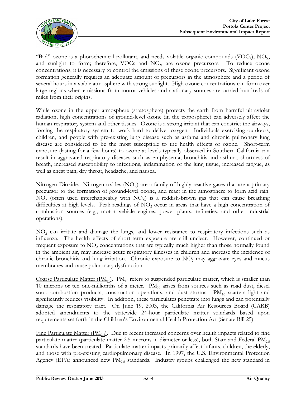

"Bad" ozone is a photochemical pollutant, and needs volatile organic compounds (VOCs),  $NO<sub>x</sub>$ , and sunlight to form; therefore, VOCs and  $NO<sub>x</sub>$  are ozone precursors. To reduce ozone concentrations, it is necessary to control the emissions of these ozone precursors. Significant ozone formation generally requires an adequate amount of precursors in the atmosphere and a period of several hours in a stable atmosphere with strong sunlight. High ozone concentrations can form over large regions when emissions from motor vehicles and stationary sources are carried hundreds of miles from their origins.

While ozone in the upper atmosphere (stratosphere) protects the earth from harmful ultraviolet radiation, high concentrations of ground-level ozone (in the troposphere) can adversely affect the human respiratory system and other tissues. Ozone is a strong irritant that can constrict the airways, forcing the respiratory system to work hard to deliver oxygen. Individuals exercising outdoors, children, and people with pre-existing lung disease such as asthma and chronic pulmonary lung disease are considered to be the most susceptible to the health effects of ozone. Short-term exposure (lasting for a few hours) to ozone at levels typically observed in Southern California can result in aggravated respiratory diseases such as emphysema, bronchitis and asthma, shortness of breath, increased susceptibility to infections, inflammation of the lung tissue, increased fatigue, as well as chest pain, dry throat, headache, and nausea.

Nitrogen Dioxide. Nitrogen oxides  $(NO_x)$  are a family of highly reactive gases that are a primary precursor to the formation of ground-level ozone, and react in the atmosphere to form acid rain.  $NO<sub>2</sub>$  (often used interchangeably with  $NO<sub>x</sub>$ ) is a reddish-brown gas that can cause breathing difficulties at high levels. Peak readings of  $NO<sub>2</sub>$  occur in areas that have a high concentration of combustion sources (e.g., motor vehicle engines, power plants, refineries, and other industrial operations).

NO<sup>2</sup> can irritate and damage the lungs, and lower resistance to respiratory infections such as influenza. The health effects of short-term exposure are still unclear. However, continued or frequent exposure to  $NO<sub>2</sub>$  concentrations that are typically much higher than those normally found in the ambient air, may increase acute respiratory illnesses in children and increase the incidence of chronic bronchitis and lung irritation. Chronic exposure to  $NO<sub>2</sub>$  may aggravate eyes and mucus membranes and cause pulmonary dysfunction.

Coarse Particulate Matter ( $PM_{10}$ ).  $PM_{10}$  refers to suspended particulate matter, which is smaller than 10 microns or ten one-millionths of a meter.  $PM_{10}$  arises from sources such as road dust, diesel soot, combustion products, construction operations, and dust storms.  $PM_{10}$  scatters light and significantly reduces visibility. In addition, these particulates penetrate into lungs and can potentially damage the respiratory tract. On June 19, 2003, the California Air Resources Board (CARB) adopted amendments to the statewide 24-hour particulate matter standards based upon requirements set forth in the Children's Environmental Health Protection Act (Senate Bill 25).

Fine Particulate Matter ( $PM_{2.5}$ ). Due to recent increased concerns over health impacts related to fine particulate matter (particulate matter 2.5 microns in diameter or less), both State and Federal  $PM_{25}$ standards have been created. Particulate matter impacts primarily affect infants, children, the elderly, and those with pre-existing cardiopulmonary disease. In 1997, the U.S. Environmental Protection Agency (EPA) announced new  $PM_{2.5}$  standards. Industry groups challenged the new standard in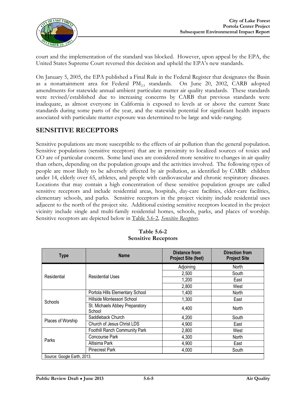

court and the implementation of the standard was blocked. However, upon appeal by the EPA, the United States Supreme Court reversed this decision and upheld the EPA's new standards.

On January 5, 2005, the EPA published a Final Rule in the Federal Register that designates the Basin as a nonattainment area for Federal  $PM_{2.5}$  standards. On June 20, 2002, CARB adopted amendments for statewide annual ambient particulate matter air quality standards. These standards were revised/established due to increasing concerns by CARB that previous standards were inadequate, as almost everyone in California is exposed to levels at or above the current State standards during some parts of the year, and the statewide potential for significant health impacts associated with particulate matter exposure was determined to be large and wide-ranging.

### **SENSITIVE RECEPTORS**

Sensitive populations are more susceptible to the effects of air pollution than the general population. Sensitive populations (sensitive receptors) that are in proximity to localized sources of toxics and CO are of particular concern. Some land uses are considered more sensitive to changes in air quality than others, depending on the population groups and the activities involved. The following types of people are most likely to be adversely affected by air pollution, as identified by CARB: children under 14, elderly over 65, athletes, and people with cardiovascular and chronic respiratory diseases. Locations that may contain a high concentration of these sensitive population groups are called sensitive receptors and include residential areas, hospitals, day-care facilities, elder-care facilities, elementary schools, and parks. Sensitive receptors in the project vicinity include residential uses adjacent to the north of the project site. Additional existing sensitive receptors located in the project vicinity include single and multi-family residential homes, schools, parks, and places of worship. Sensitive receptors are depicted below in Table 5.6-2, *Sensitive Receptors*.

| <b>Type</b>                 | <b>Name</b>                              | Distance from<br><b>Project Site (feet)</b> | <b>Direction from</b><br><b>Project Site</b> |
|-----------------------------|------------------------------------------|---------------------------------------------|----------------------------------------------|
|                             |                                          | Adjoining                                   | North                                        |
| Residential                 | <b>Residential Uses</b>                  | 2,500                                       | South                                        |
|                             |                                          | 1,200                                       | East                                         |
|                             |                                          | 2,800                                       | West                                         |
|                             | Portola Hills Elementary School          | 1,400                                       | <b>North</b>                                 |
| <b>Schools</b>              | Hillside Montessori School               | 1,300                                       | East                                         |
|                             | St. Michaels Abbey Preparatory<br>School | 4,400                                       | North                                        |
|                             | Saddleback Church                        | 4,200                                       | South                                        |
| Places of Worship           | Church of Jesus Christ LDS               | 4,900                                       | East                                         |
|                             | Foothill Ranch Community Park            | 2,800                                       | West                                         |
| Parks                       | Concourse Park                           | 4,300                                       | North                                        |
|                             | Altisima Park                            | 4,900                                       | East                                         |
|                             | <b>Pinecrest Park</b>                    | 4,000                                       | South                                        |
| Source: Google Earth, 2013. |                                          |                                             |                                              |

**Table 5.6-2 Sensitive Receptors**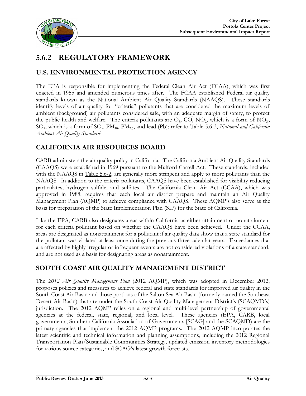

# **5.6.2 REGULATORY FRAMEWORK**

# **U.S. ENVIRONMENTAL PROTECTION AGENCY**

The EPA is responsible for implementing the Federal Clean Air Act (FCAA), which was first enacted in 1955 and amended numerous times after. The FCAA established Federal air quality standards known as the National Ambient Air Quality Standards (NAAQS). These standards identify levels of air quality for "criteria" pollutants that are considered the maximum levels of ambient (background) air pollutants considered safe, with an adequate margin of safety, to protect the public health and welfare. The criteria pollutants are  $O_3$ , CO, NO<sub>2</sub>, which is a form of NO<sub>x</sub>, SO<sub>2</sub>, which is a form of SO<sub>x</sub>, PM<sub>10</sub>, PM<sub>2.5</sub>, and lead (Pb); refer to Table 5.6-3, *National and California Ambient Air Quality Standards*.

# **CALIFORNIA AIR RESOURCES BOARD**

CARB administers the air quality policy in California. The California Ambient Air Quality Standards (CAAQS) were established in 1969 pursuant to the Mulford-Carrell Act. These standards, included with the NAAQS in <u>Table 5.6-2</u>, are generally more stringent and apply to more pollutants than the NAAQS. In addition to the criteria pollutants, CAAQS have been established for visibility reducing particulates, hydrogen sulfide, and sulfates. The California Clean Air Act (CCAA), which was approved in 1988, requires that each local air district prepare and maintain an Air Quality Management Plan (AQMP) to achieve compliance with CAAQS. These AQMP's also serve as the basis for preparation of the State Implementation Plan (SIP) for the State of California.

Like the EPA, CARB also designates areas within California as either attainment or nonattainment for each criteria pollutant based on whether the CAAQS have been achieved. Under the CCAA, areas are designated as nonattainment for a pollutant if air quality data show that a state standard for the pollutant was violated at least once during the previous three calendar years. Exceedances that are affected by highly irregular or infrequent events are not considered violations of a state standard, and are not used as a basis for designating areas as nonattainment.

# **SOUTH COAST AIR QUALITY MANAGEMENT DISTRICT**

The *2012 Air Quality Management Plan* (2012 AQMP), which was adopted in December 2012, proposes policies and measures to achieve federal and state standards for improved air quality in the South Coast Air Basin and those portions of the Salton Sea Air Basin (formerly named the Southeast Desert Air Basin) that are under the South Coast Air Quality Management District's (SCAQMD's) jurisdiction. The 2012 AQMP relies on a regional and multi-level partnership of governmental agencies at the federal, state, regional, and local level. These agencies (EPA, CARB, local governments, Southern California Association of Governments [SCAG] and the SCAQMD) are the primary agencies that implement the 2012 AQMP programs. The 2012 AQMP incorporates the latest scientific and technical information and planning assumptions, including the 2012 Regional Transportation Plan/Sustainable Communities Strategy, updated emission inventory methodologies for various source categories, and SCAG's latest growth forecasts.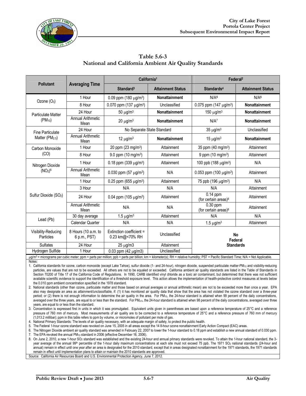

|                                   |                                      | California <sup>1</sup>                     |                          | Federal <sup>2</sup>                           |                          |  |
|-----------------------------------|--------------------------------------|---------------------------------------------|--------------------------|------------------------------------------------|--------------------------|--|
| <b>Pollutant</b>                  | <b>Averaging Time</b>                | Standard <sup>3</sup>                       | <b>Attainment Status</b> | Standards <sup>4</sup>                         | <b>Attainment Status</b> |  |
|                                   | 1 Hour                               | 0.09 ppm (180 µg/m <sup>3</sup> )           | <b>Nonattainment</b>     | N/A <sup>5</sup>                               | N/A <sup>5</sup>         |  |
| Ozone $(O_3)$                     | 8 Hour                               | 0.070 ppm (137 µg/m <sup>3</sup> )          | Unclassified             | 0.075 ppm (147 $\mu$ g/m <sup>3</sup> )        | Nonattainment            |  |
| <b>Particulate Matter</b>         | 24 Hour<br>50 $\mu$ g/m <sup>3</sup> |                                             | Nonattainment            | 150 $\mu$ g/m <sup>3</sup>                     | Nonattainment            |  |
| $(PM_{10})$                       | <b>Annual Arithmetic</b><br>Mean     | Nonattainment<br>$20 \mu g/m^3$             |                          | N/A <sup>7</sup>                               | Nonattainment            |  |
| Fine Particulate                  | 24 Hour                              | No Separate State Standard                  |                          | $35 \mu g/m^3$                                 | Unclassified             |  |
| Matter (PM <sub>2.5</sub> )       | <b>Annual Arithmetic</b><br>Mean     | 12 $\mu$ g/m <sup>3</sup>                   | <b>Nonattainment</b>     | $15 \mu g/m^3$                                 | Nonattainment            |  |
| Carbon Monoxide                   | 1 Hour                               | 20 ppm (23 mg/m <sup>3</sup> )              | Attainment               | 35 ppm (40 mg/m <sup>3</sup> )                 | Attainment               |  |
| (CO)                              | 8 Hour                               | 9.0 ppm $(10 \text{ mg/m}^3)$               | Attainment               | 9 ppm $(10 \text{ mg/m}^3)$                    | Attainment               |  |
| Nitrogen Dioxide                  | 1 Hour                               | 0.18 ppm $(339 \mu g/m^3)$                  | Attainment               | 100 ppb (188 $\mu$ g/m <sup>3</sup> )          | N/A                      |  |
| (NO <sub>2</sub> ) <sup>6</sup>   | <b>Annual Arithmetic</b><br>Mean     | 0.030 ppm (57 $\mu$ g/m <sup>3</sup> )      | N/A                      | 0.053 ppm (100 $\mu$ g/m <sup>3</sup> )        | Attainment               |  |
|                                   | 1 Hour                               | 0.25 ppm (655 $\mu$ g/m <sup>3</sup> )      | Attainment               | 75 ppb (196 μg/m <sup>3</sup> )                | N/A                      |  |
|                                   | 3 Hour                               | N/A                                         | N/A                      | N/A                                            | Attainment               |  |
| Sulfur Dioxide (SO <sub>2</sub> ) | 24 Hour                              | 0.04 ppm (105 $\mu$ g/m <sup>3</sup> )      | Attainment               | $0.14$ ppm<br>(for certain areas) <sup>8</sup> | Attainment               |  |
|                                   | <b>Annual Arithmetic</b><br>Mean     | N/A                                         | N/A                      | $0.30$ ppm<br>(for certain areas) <sup>8</sup> | Attainment               |  |
|                                   | 30 day average                       | $1.5 \,\mu g/m^3$                           | Attainment               | N/A                                            | N/A                      |  |
| Lead (Pb)                         | Calendar Quarter                     | N/A                                         | N/A                      | $1.5 \ \mu g/m^3$                              | Attainment               |  |
| Visibility-Reducing<br>Particles  | 8 Hours (10 a.m. to<br>6 p.m., PST)  | Extinction coefficient =<br>0.23 km@<70% RH | Unclassified             | <b>No</b><br>Federal                           |                          |  |
| <b>Sulfates</b>                   | 24 Hour                              | $25 \mu g/m3$                               | Attainment               | <b>Standards</b>                               |                          |  |
| Hydrogen Sulfide                  | 1 Hour                               | 0.03 ppm (42 $\mu$ g/m3)                    | Unclassified             |                                                |                          |  |

**Table 5.6-3 National and California Ambient Air Quality Standards**

µg/m<sup>3</sup> = micrograms per cubic meter; ppm = parts per million; ppb = parts per billion; km = kilometer(s); RH = relative humidity; PST = Pacific Standard Time; N/A = Not Applicable. Notes:

1. Califomia standards for ozone, carbon monoxide (except Lake Tahoe), sulfur dioxide (1- and 24-hour), nitrogen dioxide, suspended particulate matter-PM<sub>10</sub> and visibility-reducing particles, are values that are not to be exceeded. All others are not to be equaled or exceeded. California ambient air quality standards are listed in the Table of Standards in Section 70200 of Title 17 of the California Code of Regulations. In 1990, CARB identified vinyl chloride as a toxic air contaminant, but determined that there was not sufficient available scientific evidence to support the identification of a threshold exposure level. This action allows the implementation of health-protective control measures at levels below the 0.010 ppm ambient concentration specified in the 1978 standard.

2. National standards (other than ozone, particulate matter and those based on annual averages or annual arithmetic mean) are not to be exceeded more than once a year. EPA also may designate an area as attainment/unclassifiable, if: (1) it has monitored air quality data that show that the area has not violated the ozone standard over a three-year period; or (2) there is not enough information to determine the air quality in the area. For  $PM_{10}$ , the 24-hour standard is attained when 99 percent of the daily concentrations, averaged over the three years, are equal to or less than the standard. For PM<sub>2.5</sub>, the 24-hour standard is attained when 98 percent of the daily concentrations, averaged over three years, are equal to or less than the standard.

3. Concentration is expressed first in units in which it was promulgated. Equivalent units given in parentheses are based upon a reference temperature of 25°C and a reference pressure of 760 mm of mercury. Most measurements of air quality are to be corrected to a reference temperature of 25°C and a reference pressure of 760 mm of mercury (1,013.2 millibar); ppm in this table refers to ppm by volume, or micromoles of pollutant per mole of gas.

4. National Primary Standards: The levels of air quality necessary, with an adequate margin of safety, to protect the public health.

5. The Federal 1-hour ozone standard was revoked on June 15, 2005 in all areas except the 14 8-hour ozone nonattainment Early Action Compact (EAC) areas.

6. The Nitrogen Dioxide ambient air quality standard was amended in February 22, 2007 to lower the 1-hour standard to 0.18 ppm and establish a new annual standard of 0.030 ppm. 7. The EPA revoked the annual PM<sub>10</sub> standard in 2006 (effective December 16, 2006).

8. On June 2, 2010, a new 1-hour SO<sub>2</sub> standard was established and the existing 24-hour and annual primary standards were revoked. To attain the 1-hour national standard, the 3year average of the annual 99<sup>th</sup> percentile of the 1-hour daily maximum concentrations at each site must not exceed 75 ppb. The 1971 SO<sub>2</sub> national standards (24-hour and annual) remain in effect until one year after an area is designated for the 2010 standard, except that in areas designated nonattainment for the 1971 standards, the 1971 standards remain in effect until implementation plans to attain or maintain the 2010 standards are approved.

Source: California Air Resources Board and U.S. Environmental Protection Agency, June 7, 2012.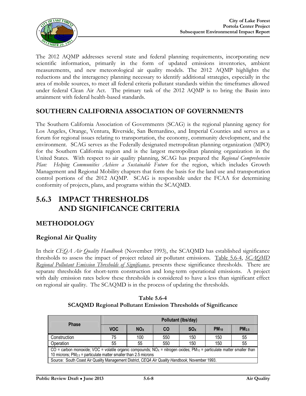

The 2012 AQMP addresses several state and federal planning requirements, incorporating new scientific information, primarily in the form of updated emissions inventories, ambient measurements, and new meteorological air quality models. The 2012 AQMP highlights the reductions and the interagency planning necessary to identify additional strategies, especially in the area of mobile sources, to meet all federal criteria pollutant standards within the timeframes allowed under federal Clean Air Act. The primary task of the 2012 AQMP is to bring the Basin into attainment with federal health-based standards.

### **SOUTHERN CALIFORNIA ASSOCIATION OF GOVERNMENTS**

The Southern California Association of Governments (SCAG) is the regional planning agency for Los Angeles, Orange, Ventura, Riverside, San Bernardino, and Imperial Counties and serves as a forum for regional issues relating to transportation, the economy, community development, and the environment. SCAG serves as the Federally designated metropolitan planning organization (MPO) for the Southern California region and is the largest metropolitan planning organization in the United States. With respect to air quality planning, SCAG has prepared the *Regional Comprehensive*  Plan: Helping Communities Achieve a Sustainable Future for the region, which includes Growth Management and Regional Mobility chapters that form the basis for the land use and transportation control portions of the 2012 AQMP. SCAG is responsible under the FCAA for determining conformity of projects, plans, and programs within the SCAQMD.

# **5.6.3 IMPACT THRESHOLDS AND SIGNIFICANCE CRITERIA**

### **METHODOLOGY**

### **Regional Air Quality**

In their *CEQA Air Quality Handbook* (November 1993), the SCAQMD has established significance thresholds to assess the impact of project related air pollutant emissions. Table 5.6-4, *SCAQMD Regional Pollutant Emission Thresholds of Significance*, presents these significance thresholds. There are separate thresholds for short-term construction and long-term operational emissions. A project with daily emission rates below these thresholds is considered to have a less than significant effect on regional air quality. The SCAQMD is in the process of updating the thresholds.

| <b>Phase</b>                                                                                                                                                                                                          | Pollutant (lbs/day)                                                        |     |     |     |     |    |  |  |
|-----------------------------------------------------------------------------------------------------------------------------------------------------------------------------------------------------------------------|----------------------------------------------------------------------------|-----|-----|-----|-----|----|--|--|
|                                                                                                                                                                                                                       | <b>VOC</b><br>SO <sub>x</sub><br>$PM_{10}$<br><b>NO<sub>x</sub></b><br>CO. |     |     |     |     |    |  |  |
| Construction                                                                                                                                                                                                          | 75                                                                         | 100 | 550 | 150 | 150 | 55 |  |  |
| Operation                                                                                                                                                                                                             | 55                                                                         | 55  | 550 | 150 | 150 | 55 |  |  |
| CO = carbon monoxide; VOC = volatile organic compounds; NO <sub>x</sub> = nitrogen oxides; PM <sub>10</sub> = particulate matter smaller than<br>10 microns; $PM_{2.5}$ = particulate matter smaller than 2.5 microns |                                                                            |     |     |     |     |    |  |  |
| Source: South Coast Air Quality Management District, CEQA Air Quality Handbook, November 1993.                                                                                                                        |                                                                            |     |     |     |     |    |  |  |

**Table 5.6-4 SCAQMD Regional Pollutant Emission Thresholds of Significance**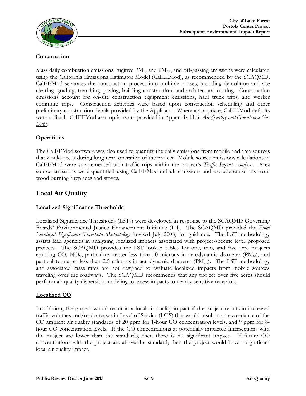

#### **Construction**

Mass daily combustion emissions, fugitive  $PM_{10}$  and  $PM_{2.5}$ , and off-gassing emissions were calculated using the California Emissions Estimator Model (CalEEMod), as recommended by the SCAQMD. CalEEMod separates the construction process into multiple phases, including demolition and site clearing, grading, trenching, paving, building construction, and architectural coating. Construction emissions account for on-site construction equipment emissions, haul truck trips, and worker commute trips. Construction activities were based upon construction scheduling and other preliminary construction details provided by the Applicant. Where appropriate, CalEEMod defaults were utilized. CalEEMod assumptions are provided in Appendix 11.6, *Air Quality and Greenhouse Gas Data*.

#### **Operations**

The CalEEMod software was also used to quantify the daily emissions from mobile and area sources that would occur during long-term operation of the project. Mobile source emissions calculations in CalEEMod were supplemented with traffic trips within the project's *Traffic Impact Analysis*. Area source emissions were quantified using CalEEMod default emissions and exclude emissions from wood burning fireplaces and stoves.

# **Local Air Quality**

#### **Localized Significance Thresholds**

Localized Significance Thresholds (LSTs) were developed in response to the SCAQMD Governing Boards' Environmental Justice Enhancement Initiative (I-4). The SCAQMD provided the *Final Localized Significance Threshold Methodology* (revised July 2008) for guidance. The LST methodology assists lead agencies in analyzing localized impacts associated with project-specific level proposed projects. The SCAQMD provides the LST lookup tables for one, two, and five acre projects emitting CO,  $NO_{X}$ , particulate matter less than 10 microns in aerodynamic diameter ( $PM_{10}$ ), and particulate matter less than 2.5 microns in aerodynamic diameter  $(PM<sub>25</sub>)$ . The LST methodology and associated mass rates are not designed to evaluate localized impacts from mobile sources traveling over the roadways. The SCAQMD recommends that any project over five acres should perform air quality dispersion modeling to assess impacts to nearby sensitive receptors.

#### **Localized CO**

In addition, the project would result in a local air quality impact if the project results in increased traffic volumes and/or decreases in Level of Service (LOS) that would result in an exceedance of the CO ambient air quality standards of 20 ppm for 1-hour CO concentration levels, and 9 ppm for 8 hour CO concentration levels. If the CO concentrations at potentially impacted intersections with the project are lower than the standards, then there is no significant impact. If future CO concentrations with the project are above the standard, then the project would have a significant local air quality impact.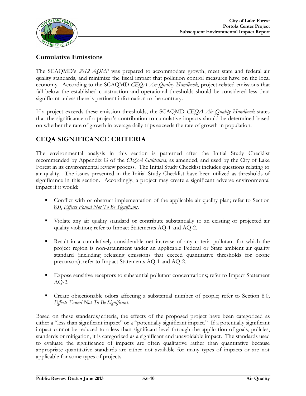

# **Cumulative Emissions**

The SCAQMD's *2012 AQMP* was prepared to accommodate growth, meet state and federal air quality standards, and minimize the fiscal impact that pollution control measures have on the local economy. According to the SCAQMD *CEQA Air Quality Handbook*, project-related emissions that fall below the established construction and operational thresholds should be considered less than significant unless there is pertinent information to the contrary.

If a project exceeds these emission thresholds, the SCAQMD *CEQA Air Quality Handbook* states that the significance of a project's contribution to cumulative impacts should be determined based on whether the rate of growth in average daily trips exceeds the rate of growth in population.

# **CEQA SIGNIFICANCE CRITERIA**

The environmental analysis in this section is patterned after the Initial Study Checklist recommended by Appendix G of the *CEQA Guidelines*, as amended, and used by the City of Lake Forest in its environmental review process. The Initial Study Checklist includes questions relating to air quality. The issues presented in the Initial Study Checklist have been utilized as thresholds of significance in this section. Accordingly, a project may create a significant adverse environmental impact if it would:

- Conflict with or obstruct implementation of the applicable air quality plan; refer to Section 8.0, *Effects Found Not To Be Significant*.
- Violate any air quality standard or contribute substantially to an existing or projected air quality violation; refer to Impact Statements AQ-1 and AQ-2.
- Result in a cumulatively considerable net increase of any criteria pollutant for which the project region is non-attainment under an applicable Federal or State ambient air quality standard (including releasing emissions that exceed quantitative thresholds for ozone precursors); refer to Impact Statements AQ-1 and AQ-2.
- Expose sensitive receptors to substantial pollutant concentrations; refer to Impact Statement AQ-3.
- **Create objectionable odors affecting a substantial number of people; refer to Section 8.0,** *Effects Found Not To Be Significant*.

Based on these standards/criteria, the effects of the proposed project have been categorized as either a "less than significant impact" or a "potentially significant impact." If a potentially significant impact cannot be reduced to a less than significant level through the application of goals, policies, standards or mitigation, it is categorized as a significant and unavoidable impact. The standards used to evaluate the significance of impacts are often qualitative rather than quantitative because appropriate quantitative standards are either not available for many types of impacts or are not applicable for some types of projects.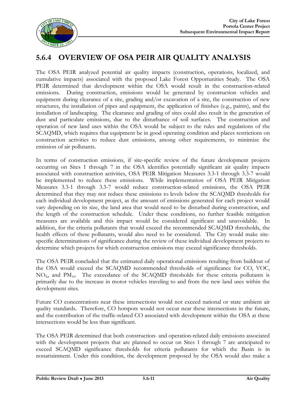

# **5.6.4 OVERVIEW OF OSA PEIR AIR QUALITY ANALYSIS**

The OSA PEIR analyzed potential air quality impacts (construction, operations, localized, and cumulative impacts) associated with the proposed Lake Forest Opportunities Study. The OSA PEIR determined that development within the OSA would result in the construction-related emissions. During construction, emissions would be generated by construction vehicles and equipment during clearance of a site, grading and/or excavation of a site, the construction of new structures, the installation of pipes and equipment, the application of finishes (e.g., paints), and the installation of landscaping. The clearance and grading of sites could also result in the generation of dust and particulate emissions, due to the disturbance of soil surfaces. The construction and operation of new land uses within the OSA would be subject to the rules and regulations of the SCAQMD, which requires that equipment be in good operating condition and places restrictions on construction activities to reduce dust emissions, among other requirements, to minimize the emission of air pollutants.

In terms of construction emissions, if site-specific review of the future development projects occurring on Sites 1 through 7 in the OSA identifies potentially significant air quality impacts associated with construction activities, OSA PEIR Mitigation Measures 3.3-1 through 3.3-7 would be implemented to reduce these emissions. While implementation of OSA PEIR Mitigation Measures 3.3-1 through 3.3-7 would reduce construction-related emissions, the OSA PEIR determined that they may not reduce these emissions to levels below the SCAQMD thresholds for each individual development project, as the amount of emissions generated for each project would vary depending on its size, the land area that would need to be disturbed during construction, and the length of the construction schedule. Under these conditions, no further feasible mitigation measures are available and this impact would be considered significant and unavoidable. In addition, for the criteria pollutants that would exceed the recommended SCAQMD thresholds, the health effects of these pollutants, would also need to be considered. The City would make sitespecific determinations of significance during the review of these individual development projects to determine which projects for which construction emissions may exceed significance thresholds.

The OSA PEIR concluded that the estimated daily operational emissions resulting from buildout of the OSA would exceed the SCAQMD recommended thresholds of significance for CO, VOC,  $NO<sub>x</sub>$ , and  $PM<sub>10</sub>$ . The exceedance of the SCAQMD thresholds for these criteria pollutants is primarily due to the increase in motor vehicles traveling to and from the new land uses within the development sites.

Future CO concentrations near these intersections would not exceed national or state ambient air quality standards. Therefore, CO hotspots would not occur near these intersections in the future, and the contribution of the traffic-related CO associated with development within the OSA at these intersections would be less than significant.

The OSA PEIR determined that both construction- and operation-related daily emissions associated with the development projects that are planned to occur on Sites 1 through 7 are anticipated to exceed SCAQMD significance thresholds for criteria pollutants for which the Basin is in nonattainment. Under this condition, the development proposed by the OSA would also make a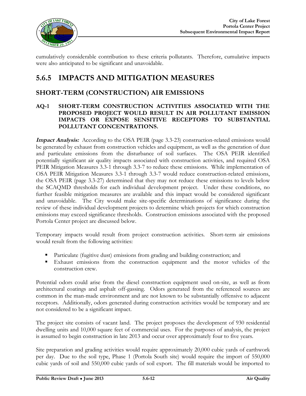

cumulatively considerable contribution to these criteria pollutants. Therefore, cumulative impacts were also anticipated to be significant and unavoidable.

# **5.6.5 IMPACTS AND MITIGATION MEASURES**

### **SHORT-TERM (CONSTRUCTION) AIR EMISSIONS**

#### **AQ-1 SHORT-TERM CONSTRUCTION ACTIVITIES ASSOCIATED WITH THE PROPOSED PROJECT WOULD RESULT IN AIR POLLUTANT EMISSION IMPACTS OR EXPOSE SENSITIVE RECEPTORS TO SUBSTANTIAL POLLUTANT CONCENTRATIONS.**

**Impact Analysis:** According to the OSA PEIR (page 3.3-23) construction-related emissions would be generated by exhaust from construction vehicles and equipment, as well as the generation of dust and particulate emissions from the disturbance of soil surfaces. The OSA PEIR identified potentially significant air quality impacts associated with construction activities, and required OSA PEIR Mitigation Measures 3.3-1 through 3.3-7 to reduce these emissions. While implementation of OSA PEIR Mitigation Measures 3.3-1 through 3.3-7 would reduce construction-related emissions, the OSA PEIR (page 3.3-27) determined that they may not reduce these emissions to levels below the SCAQMD thresholds for each individual development project. Under these conditions, no further feasible mitigation measures are available and this impact would be considered significant and unavoidable. The City would make site-specific determinations of significance during the review of these individual development projects to determine which projects for which construction emissions may exceed significance thresholds. Construction emissions associated with the proposed Portola Center project are discussed below.

Temporary impacts would result from project construction activities. Short-term air emissions would result from the following activities:

- Particulate (fugitive dust) emissions from grading and building construction; and
- Exhaust emissions from the construction equipment and the motor vehicles of the construction crew.

Potential odors could arise from the diesel construction equipment used on-site, as well as from architectural coatings and asphalt off-gassing. Odors generated from the referenced sources are common in the man-made environment and are not known to be substantially offensive to adjacent receptors. Additionally, odors generated during construction activities would be temporary and are not considered to be a significant impact.

The project site consists of vacant land. The project proposes the development of 930 residential dwelling units and 10,000 square feet of commercial uses. For the purposes of analysis, the project is assumed to begin construction in late 2013 and occur over approximately four to five years.

Site preparation and grading activities would require approximately 20,000 cubic yards of earthwork per day. Due to the soil type, Phase 1 (Portola South site) would require the import of 550,000 cubic yards of soil and 550,000 cubic yards of soil export. The fill materials would be imported to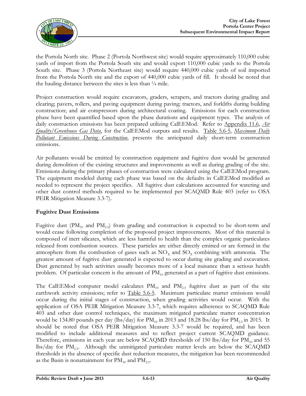

the Portola North site. Phase 2 (Portola Northwest site) would require approximately 110,000 cubic yards of import from the Portola South site and would export 110,000 cubic yards to the Portola South site. Phase 3 (Portola Northeast site) would require 440,000 cubic yards of soil imported from the Portola North site and the export of 440,000 cubic yards of fill. It should be noted that the hauling distance between the sites is less than  $\frac{1}{4}$  mile.

Project construction would require excavators, graders, scrapers, and tractors during grading and clearing; pavers, rollers, and paving equipment during paving; tractors, and forklifts during building construction; and air compressors during architectural coating. Emissions for each construction phase have been quantified based upon the phase durations and equipment types. The analysis of daily construction emissions has been prepared utilizing CalEEMod. Refer to Appendix 11.6, *Air Quality/Greenhouse Gas Data*, for the CalEEMod outputs and results. Table 5.6-5, *Maximum Daily Pollutant Emissions During Construction*, presents the anticipated daily short-term construction emissions.

Air pollutants would be emitted by construction equipment and fugitive dust would be generated during demolition of the existing structures and improvements as well as during grading of the site. Emissions during the primary phases of construction were calculated using the CalEEMod program. The equipment modeled during each phase was based on the defaults in CalEEMod modified as needed to represent the project specifics. All fugitive dust calculations accounted for watering and other dust control methods required to be implemented per SCAQMD Rule 403 (refer to OSA PEIR Mitigation Measure 3.3-7).

#### **Fugitive Dust Emissions**

Fugitive dust ( $PM_{10}$  and  $PM_{2.5}$ ) from grading and construction is expected to be short-term and would cease following completion of the proposed project improvements. Most of this material is composed of inert silicates, which are less harmful to health than the complex organic particulates released from combustion sources. These particles are either directly emitted or are formed in the atmosphere from the combustion of gases such as  $NO<sub>x</sub>$  and  $SO<sub>x</sub>$  combining with ammonia. The greatest amount of fugitive dust generated is expected to occur during site grading and excavation. Dust generated by such activities usually becomes more of a local nuisance than a serious health problem. Of particular concern is the amount of  $PM_{10}$  generated as a part of fugitive dust emissions.

The CalEEMod computer model calculates  $PM_{10}$  and  $PM_{2.5}$  fugitive dust as part of the site earthwork activity emissions; refer to Table 5.6-5. Maximum particulate matter emissions would occur during the initial stages of construction, when grading activities would occur. With the application of OSA PEIR Mitigation Measure 3.3-7, which requires adherence to SCAQMD Rule 403 and other dust control techniques, the maximum mitigated particulate matter concentration would be 134.80 pounds per day (lbs/day) for  $PM_{10}$  in 2013 and 18.28 lbs/day for  $PM_{25}$  in 2015. It should be noted that OSA PEIR Mitigation Measure 3.3-7 would be required, and has been modified to include additional measures and to reflect project current SCAQMD guidance. Therefore, emissions in each year are below SCAQMD thresholds of 150 lbs/day for  $PM_{10}$  and 55 lbs/day for  $PM_{2.5}$ . Although the unmitigated particulate matter levels are below the SCAQMD thresholds in the absence of specific dust reduction measures, the mitigation has been recommended as the Basin is nonattainment for  $PM_{10}$  and  $PM_{2.5}$ .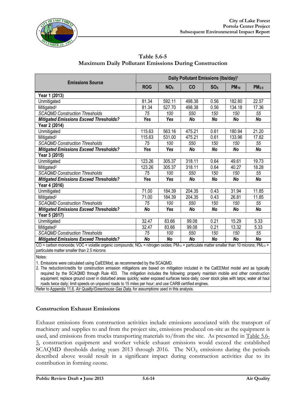

| <b>Emissions Source</b>                                                                                                                                                       |            |                       | Daily Pollutant Emissions (Ibs/day) <sup>1</sup> |                 |           |                   |
|-------------------------------------------------------------------------------------------------------------------------------------------------------------------------------|------------|-----------------------|--------------------------------------------------|-----------------|-----------|-------------------|
|                                                                                                                                                                               | <b>ROG</b> | <b>NO<sub>X</sub></b> | CO                                               | SO <sub>X</sub> | $PM_{10}$ | PM <sub>2.5</sub> |
| Year 1 (2013)                                                                                                                                                                 |            |                       |                                                  |                 |           |                   |
| Unmitigated                                                                                                                                                                   | 81.34      | 592.11                | 498.38                                           | 0.56            | 182.80    | 22.57             |
| Mitigated <sup>2</sup>                                                                                                                                                        | 81.34      | 527.70                | 498.38                                           | 0.56            | 134.18    | 17.36             |
| <b>SCAQMD Construction Thresholds</b>                                                                                                                                         | 75         | 100                   | 550                                              | 150             | 150       | 55                |
| <b>Mitigated Emissions Exceed Thresholds?</b>                                                                                                                                 | Yes        | Yes                   | No                                               | No              | No        | <b>No</b>         |
| Year 2 (2014)                                                                                                                                                                 |            |                       |                                                  |                 |           |                   |
| Unmitigated                                                                                                                                                                   | 115.63     | 563.16                | 475.21                                           | 0.61            | 180.94    | 21.20             |
| Mitigated <sup>2</sup>                                                                                                                                                        | 115.63     | 531.00                | 475.21                                           | 0.61            | 133.96    | 17.82             |
| <b>SCAQMD Construction Thresholds</b>                                                                                                                                         | 75         | 100                   | 550                                              | 150             | 150       | 55                |
| <b>Mitigated Emissions Exceed Thresholds?</b>                                                                                                                                 | Yes        | Yes                   | No                                               | <b>No</b>       | No        | No                |
| Year 3 (2015)                                                                                                                                                                 |            |                       |                                                  |                 |           |                   |
| Unmitigated                                                                                                                                                                   | 123.26     | 305.37                | 318.11                                           | 0.64            | 49.61     | 19.73             |
| Mitigated <sup>2</sup>                                                                                                                                                        | 123.26     | 305.37                | 318.11                                           | 0.64            | 40.27     | 18.28             |
| <b>SCAQMD Construction Thresholds</b>                                                                                                                                         | 75         | 100                   | 550                                              | 150             | 150       | 55                |
| <b>Mitigated Emissions Exceed Thresholds?</b>                                                                                                                                 | Yes        | Yes                   | No                                               | <b>No</b>       | <b>No</b> | <b>No</b>         |
| Year 4 (2016)                                                                                                                                                                 |            |                       |                                                  |                 |           |                   |
| Unmitigated                                                                                                                                                                   | 71.00      | 184.39                | 204.35                                           | 0.43            | 31.94     | 11.85             |
| Mitigated <sup>2</sup>                                                                                                                                                        | 71.00      | 184.39                | 204.35                                           | 0.43            | 26.81     | 11.85             |
| <b>SCAQMD Construction Thresholds</b>                                                                                                                                         | 75         | 100                   | 550                                              | 150             | 150       | 55                |
| <b>Mitigated Emissions Exceed Thresholds?</b>                                                                                                                                 | <b>No</b>  | Yes                   | No                                               | <b>No</b>       | <b>No</b> | <b>No</b>         |
| Year 5 (2017)                                                                                                                                                                 |            |                       |                                                  |                 |           |                   |
| Unmitigated                                                                                                                                                                   | 32.47      | 83.66                 | 99.08                                            | 0.21            | 15.29     | 5.33              |
| Mitigated <sup>2</sup>                                                                                                                                                        | 32.47      | 83.66                 | 99.08                                            | 0.21            | 13.32     | 5.33              |
| <b>SCAQMD Construction Thresholds</b>                                                                                                                                         | 75         | 100                   | 550                                              | 150             | 150       | $\overline{55}$   |
| <b>Mitigated Emissions Exceed Thresholds?</b>                                                                                                                                 | <b>No</b>  | <b>No</b>             | <b>No</b>                                        | <b>No</b>       | <b>No</b> | <b>No</b>         |
| CO = carbon monoxide; VOC = volatile organic compounds; NO <sub>x</sub> = nitrogen oxides; PM <sub>10</sub> = particulate matter smaller than 10 microns; PM <sub>2.5</sub> = |            |                       |                                                  |                 |           |                   |

**Table 5.6-5 Maximum Daily Pollutant Emissions During Construction**

particulate matter smaller than 2.5 microns Notes:

1. Emissions were calculated using CalEEMod, as recommended by the SCAQMD.

2. The reduction/credits for construction emission mitigations are based on mitigation included in the CalEEMod model and as typically required by the SCAQMD through Rule 403. The mitigation includes the following: properly maintain mobile and other construction equipment; replace ground cover in disturbed areas quickly; water exposed surfaces twice daily; cover stock piles with tarps; water all haul roads twice daily; limit speeds on unpaved roads to 15 miles per hour; and use CARB certified engines.

Refer to Appendix 11.6, *Air Quality/Greenhouse Gas Data*, for assumptions used in this analysis.

#### **Construction Exhaust Emissions**

Exhaust emissions from construction activities include emissions associated with the transport of machinery and supplies to and from the project site, emissions produced on-site as the equipment is used, and emissions from trucks transporting materials to/from the site. As presented in Table 5.6- 5, construction equipment and worker vehicle exhaust emissions would exceed the established SCAQMD thresholds during years 2013 through 2016. The  $NO<sub>x</sub>$  emissions during the periods described above would result in a significant impact during construction activities due to its contribution in forming ozone.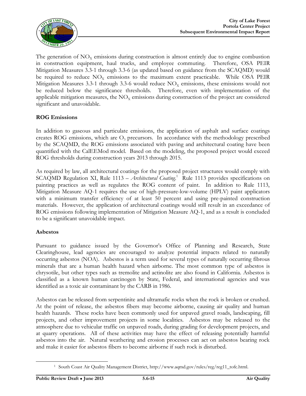

The generation of  $NO<sub>x</sub>$  emissions during construction is almost entirely due to engine combustion in construction equipment, haul trucks, and employee commuting. Therefore, OSA PEIR Mitigation Measures 3.3-1 through 3.3-6 (as updated based on guidance from the SCAQMD) would be required to reduce  $NO<sub>x</sub>$  emissions to the maximum extent practicable. While OSA PEIR Mitigation Measures 3.3-1 through 3.3-6 would reduce  $NO<sub>x</sub>$  emissions, these emissions would not be reduced below the significance thresholds. Therefore, even with implementation of the applicable mitigation measures, the  $NO<sub>x</sub>$  emissions during construction of the project are considered significant and unavoidable.

#### **ROG Emissions**

In addition to gaseous and particulate emissions, the application of asphalt and surface coatings creates ROG emissions, which are  $O<sub>3</sub>$  precursors. In accordance with the methodology prescribed by the SCAQMD, the ROG emissions associated with paving and architectural coating have been quantified with the CalEEMod model. Based on the modeling, the proposed project would exceed ROG thresholds during construction years 2013 through 2015.

As required by law, all architectural coatings for the proposed project structures would comply with SCAQMD Regulation XI, Rule 1113 – Architectural Coating.<sup>1</sup> Rule 1113 provides specifications on painting practices as well as regulates the ROG content of paint. In addition to Rule 1113, Mitigation Measure AQ-1 requires the use of high-pressure-low-volume (HPLV) paint applicators with a minimum transfer efficiency of at least 50 percent and using pre-painted construction materials. However, the application of architectural coatings would still result in an exceedance of ROG emissions following implementation of Mitigation Measure AQ-1, and as a result is concluded to be a significant unavoidable impact.

#### **Asbestos**

Pursuant to guidance issued by the Governor's Office of Planning and Research, State Clearinghouse, lead agencies are encouraged to analyze potential impacts related to naturally occurring asbestos (NOA). Asbestos is a term used for several types of naturally occurring fibrous minerals that are a human health hazard when airborne. The most common type of asbestos is chrysotile, but other types such as tremolite and actinolite are also found in California. Asbestos is classified as a known human carcinogen by State, Federal, and international agencies and was identified as a toxic air contaminant by the CARB in 1986.

Asbestos can be released from serpentinite and ultramafic rocks when the rock is broken or crushed. At the point of release, the asbestos fibers may become airborne, causing air quality and human health hazards. These rocks have been commonly used for unpaved gravel roads, landscaping, fill projects, and other improvement projects in some localities. Asbestos may be released to the atmosphere due to vehicular traffic on unpaved roads, during grading for development projects, and at quarry operations. All of these activities may have the effect of releasing potentially harmful asbestos into the air. Natural weathering and erosion processes can act on asbestos bearing rock and make it easier for asbestos fibers to become airborne if such rock is disturbed.

<sup>1</sup> South Coast Air Quality Management District, [http://www.aqmd.gov/rules/reg/reg11\\_tofc.html](http://www.aqmd.gov/rules/reg/reg11_tofc.html).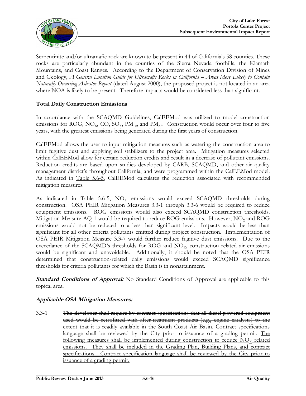

Serpentinite and/or ultramafic rock are known to be present in 44 of California's 58 counties. These rocks are particularly abundant in the counties of the Sierra Nevada foothills, the Klamath Mountains, and Coast Ranges. According to the Department of Conservation Division of Mines and Geology, *A General Location Guide for Ultramafic Rocks in California – Areas More Likely to Contain Naturally Occurring Asbestos Report* (dated August 2000), the proposed project is not located in an area where NOA is likely to be present. Therefore impacts would be considered less than significant.

#### **Total Daily Construction Emissions**

In accordance with the SCAQMD Guidelines, CalEEMod was utilized to model construction emissions for ROG, NO<sub>X</sub>, CO, SO<sub>X</sub>, PM<sub>10</sub>, and PM<sub>2.5</sub>. Construction would occur over four to five years, with the greatest emissions being generated during the first years of construction.

CalEEMod allows the user to input mitigation measures such as watering the construction area to limit fugitive dust and applying soil stabilizers to the project area. Mitigation measures selected within CalEEMod allow for certain reduction credits and result in a decrease of pollutant emissions. Reduction credits are based upon studies developed by CARB, SCAQMD, and other air quality management district's throughout California, and were programmed within the CalEEMod model. As indicated in Table 5.6-5, CalEEMod calculates the reduction associated with recommended mitigation measures.

As indicated in Table  $5.6-5$ , NO<sub>x</sub> emissions would exceed SCAQMD thresholds during construction. OSA PEIR Mitigation Measures 3.3-1 through 3.3-6 would be required to reduce equipment emissions. ROG emissions would also exceed SCAQMD construction thresholds. Mitigation Measure AQ-1 would be required to reduce ROG emissions. However,  $NO<sub>x</sub>$  and ROG emissions would not be reduced to a less than significant level. Impacts would be less than significant for all other criteria pollutants emitted during project construction. Implementation of OSA PEIR Mitigation Measure 3.3-7 would further reduce fugitive dust emissions. Due to the exceedance of the SCAQMD's thresholds for ROG and  $NO<sub>x</sub>$ , construction related air emissions would be significant and unavoidable. Additionally, it should be noted that the OSA PEIR determined that construction-related daily emissions would exceed SCAQMD significance thresholds for criteria pollutants for which the Basin is in nonattainment.

**Standard Conditions of Approval:** No Standard Conditions of Approval are applicable to this topical area.

#### **Applicable OSA Mitigation Measures:**

3.3-1 The developer shall require by contract specifications that all diesel-powered equipment used would be retrofitted with after-treatment products (e.g., engine catalysts) to the extent that it is readily available in the South Coast Air Basin. Contract specifications language shall be reviewed by the City prior to issuance of a grading permit. The following measures shall be implemented during construction to reduce  $NO<sub>x</sub>$  related emissions. They shall be included in the Grading Plan, Building Plans, and contract specifications. Contract specification language shall be reviewed by the City prior to issuance of a grading permit.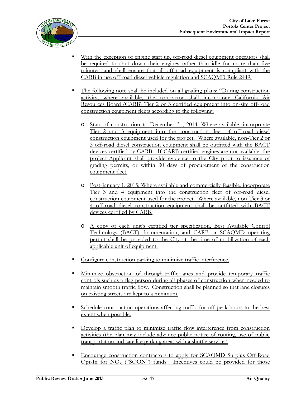

- With the exception of engine start up, off-road diesel equipment operators shall be required to shut down their engines rather than idle for more than five minutes, and shall ensure that all off-road equipment is compliant with the CARB in-use off-road diesel vehicle regulation and SCAQMD Rule 2449.
- The following note shall be included on all grading plans: "During construction activity, where available, the contractor shall incorporate California Air Resources Board (CARB) Tier 2 or 3 certified equipment into on-site off-road construction equipment fleets according to the following:
	- o Start of construction to December 31, 2014: Where available, incorporate Tier 2 and 3 equipment into the construction fleet of off-road diesel construction equipment used for the project. Where available, non-Tier 2 or 3 off-road diesel construction equipment shall be outfitted with the BACT devices certified by CARB. If CARB certified engines are not available, the project Applicant shall provide evidence to the City prior to issuance of grading permits, or within 30 days of procurement of the construction equipment fleet.
	- o Post-January 1, 2015: Where available and commercially feasible, incorporate Tier 3 and 4 equipment into the construction fleet of off-road diesel construction equipment used for the project. Where available, non-Tier 3 or 4 off-road diesel construction equipment shall be outfitted with BACT devices certified by CARB.
	- o A copy of each unit's certified tier specification, Best Available Control Technology (BACT) documentation, and CARB or SCAQMD operating permit shall be provided to the City at the time of mobilization of each applicable unit of equipment.
- Configure construction parking to minimize traffic interference.
- Minimize obstruction of through-traffic lanes and provide temporary traffic controls such as a flag person during all phases of construction when needed to maintain smooth traffic flow. Construction shall be planned so that lane closures on existing streets are kept to a minimum.
- Schedule construction operations affecting traffic for off-peak hours to the best extent when possible.
- Develop a traffic plan to minimize traffic flow interference from construction activities (the plan may include advance public notice of routing, use of public transportation and satellite parking areas with a shuttle service.)
- Encourage construction contractors to apply for SCAQMD Surplus Off-Road Opt-In for  $NO<sub>x</sub>$  ("SOON") funds. Incentives could be provided for those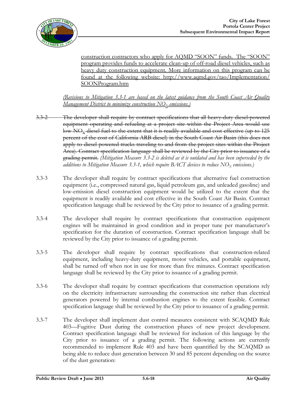

construction contractors who apply for AQMD "SOON" funds. The "SOON" program provides funds to accelerate clean-up of off-road diesel vehicles, such as heavy duty construction equipment. More information on this program can be found at the following website: <http://www.aqmd.gov/tao/Implementation/> SOONProgram.htm

*(Revisions to Mitigation 3.3-1 are based on the latest guidance from the South Coast Air Quality Management District to minimize construction NO<sub>X</sub> emissions.*)

- 3.3-2 The developer shall require by contract specifications that all heavy-duty diesel-powered equipment operating and refueling at a project site within the Project Area would use low-NO<sub>x</sub> diesel fuel to the extent that it is readily available and cost effective (up to 125 percent of the cost of California ARB diesel) in the South Coast Air Basin (this does not apply to diesel-powered trucks traveling to and from the project sites within the Project Area). Contract specification language shall be reviewed by the City prior to issuance of a grading permit. *(Mitigation Measure 3.3-2 is deleted as it is outdated and has been superseded by the additions to Mitigation Measure 3.3-1, which require BACT devices to reduce* NO<sub>X</sub> *emissions.*)
- 3.3-3 The developer shall require by contract specifications that alternative fuel construction equipment (i.e., compressed natural gas, liquid petroleum gas, and unleaded gasoline) and low-emission diesel construction equipment would be utilized to the extent that the equipment is readily available and cost effective in the South Coast Air Basin. Contract specification language shall be reviewed by the City prior to issuance of a grading permit.
- 3.3-4 The developer shall require by contract specifications that construction equipment engines will be maintained in good condition and in proper tune per manufacturer's specification for the duration of construction. Contract specification language shall be reviewed by the City prior to issuance of a grading permit.
- 3.3-5 The developer shall require by contract specifications that construction-related equipment, including heavy-duty equipment, motor vehicles, and portable equipment, shall be turned off when not in use for more than five minutes. Contract specification language shall be reviewed by the City prior to issuance of a grading permit.
- 3.3-6 The developer shall require by contract specifications that construction operations rely on the electricity infrastructure surrounding the construction site rather than electrical generators powered by internal combustion engines to the extent feasible. Contract specification language shall be reviewed by the City prior to issuance of a grading permit.
- 3.3-7 The developer shall implement dust control measures consistent with SCAQMD Rule 403—Fugitive Dust during the construction phases of new project development. Contract specification language shall be reviewed for inclusion of this language by the City prior to issuance of a grading permit. The following actions are currently recommended to implement Rule 403 and have been quantified by the SCAQMD as being able to reduce dust generation between 30 and 85 percent depending on the source of the dust generation: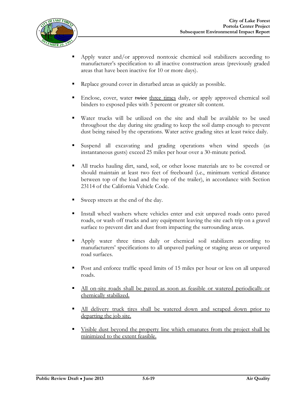

- Apply water and/or approved nontoxic chemical soil stabilizers according to manufacturer's specification to all inactive construction areas (previously graded areas that have been inactive for 10 or more days).
- Replace ground cover in disturbed areas as quickly as possible.
- Enclose, cover, water twice three times daily, or apply approved chemical soil binders to exposed piles with 5 percent or greater silt content.
- Water trucks will be utilized on the site and shall be available to be used throughout the day during site grading to keep the soil damp enough to prevent dust being raised by the operations. Water active grading sites at least twice daily.
- Suspend all excavating and grading operations when wind speeds (as instantaneous gusts) exceed 25 miles per hour over a 30-minute period.
- All trucks hauling dirt, sand, soil, or other loose materials are to be covered or should maintain at least two feet of freeboard (i.e., minimum vertical distance between top of the load and the top of the trailer), in accordance with Section 23114 of the California Vehicle Code.
- Sweep streets at the end of the day.
- Install wheel washers where vehicles enter and exit unpaved roads onto paved roads, or wash off trucks and any equipment leaving the site each trip on a gravel surface to prevent dirt and dust from impacting the surrounding areas.
- Apply water three times daily or chemical soil stabilizers according to manufacturers' specifications to all unpaved parking or staging areas or unpaved road surfaces.
- Post and enforce traffic speed limits of 15 miles per hour or less on all unpaved roads.
- All on-site roads shall be paved as soon as feasible or watered periodically or chemically stabilized.
- All delivery truck tires shall be watered down and scraped down prior to departing the job site.
- Visible dust beyond the property line which emanates from the project shall be minimized to the extent feasible.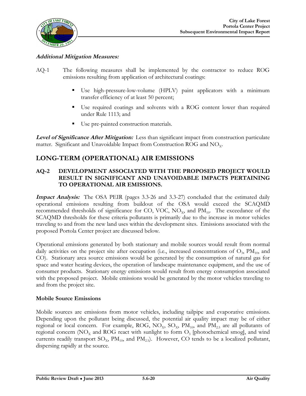

#### **Additional Mitigation Measures:**

- AQ-1 The following measures shall be implemented by the contractor to reduce ROG emissions resulting from application of architectural coatings:
	- Use high-pressure-low-volume (HPLV) paint applicators with a minimum transfer efficiency of at least 50 percent;
	- Use required coatings and solvents with a ROG content lower than required under Rule 1113; and
	- Use pre-painted construction materials.

**Level of Significance After Mitigation:** Less than significant impact from construction particulate matter. Significant and Unavoidable Impact from Construction ROG and  $NO<sub>x</sub>$ .

# **LONG-TERM (OPERATIONAL) AIR EMISSIONS**

#### **AQ-2 DEVELOPMENT ASSOCIATED WITH THE PROPOSED PROJECT WOULD RESULT IN SIGNIFICANT AND UNAVOIDABLE IMPACTS PERTAINING TO OPERATIONAL AIR EMISSIONS.**

**Impact Analysis:** The OSA PEIR (pages 3.3-26 and 3.3-27) concluded that the estimated daily operational emissions resulting from buildout of the OSA would exceed the SCAQMD recommended thresholds of significance for CO, VOC,  $NO_x$ , and  $PM_{10}$ . The exceedance of the SCAQMD thresholds for these criteria pollutants is primarily due to the increase in motor vehicles traveling to and from the new land uses within the development sites. Emissions associated with the proposed Portola Center project are discussed below.

Operational emissions generated by both stationary and mobile sources would result from normal daily activities on the project site after occupation (i.e., increased concentrations of  $O_3$ ,  $PM_{10}$ , and CO). Stationary area source emissions would be generated by the consumption of natural gas for space and water heating devices, the operation of landscape maintenance equipment, and the use of consumer products. Stationary energy emissions would result from energy consumption associated with the proposed project. Mobile emissions would be generated by the motor vehicles traveling to and from the project site.

#### **Mobile Source Emissions**

Mobile sources are emissions from motor vehicles, including tailpipe and evaporative emissions. Depending upon the pollutant being discussed, the potential air quality impact may be of either regional or local concern. For example,  $\text{ROG}$ ,  $\text{NO}_\text{X}$ ,  $\text{SO}_\text{X}$ ,  $\text{PM}_{10}$ , and  $\text{PM}_{2.5}$  are all pollutants of regional concern (NO<sub>X</sub> and ROG react with sunlight to form  $O_3$  [photochemical smog], and wind currents readily transport  $SO_{X}$ ,  $PM_{10}$ , and  $PM_{2.5}$ ). However, CO tends to be a localized pollutant, dispersing rapidly at the source.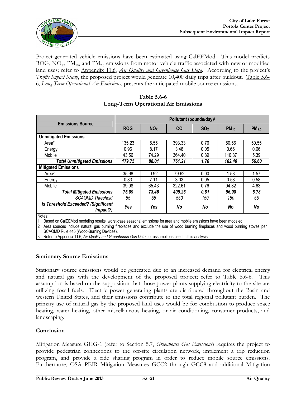

Project-generated vehicle emissions have been estimated using CalEEMod. This model predicts ROG, NO<sub>x</sub>, PM<sub>10</sub>, and PM<sub>2.5</sub> emissions from motor vehicle traffic associated with new or modified land uses; refer to Appendix 11.6, *Air Quality and Greenhouse Gas Data*. According to the project's *Traffic Impact Study*, the proposed project would generate 10,400 daily trips after buildout. Table 5.6-6, *Long-Term Operational Air Emissions*, presents the anticipated mobile source emissions.

| <b>Emissions Source</b>                         | Pollutant (pounds/day) <sup>1</sup> |                 |           |                 |           |                   |  |  |
|-------------------------------------------------|-------------------------------------|-----------------|-----------|-----------------|-----------|-------------------|--|--|
|                                                 | <b>ROG</b>                          | NO <sub>X</sub> | <b>CO</b> | SO <sub>x</sub> | $PM_{10}$ | PM <sub>2.5</sub> |  |  |
| <b>Unmitigated Emissions</b>                    |                                     |                 |           |                 |           |                   |  |  |
| Area <sup>2</sup>                               | 135.23                              | 5.55            | 393.33    | 0.76            | 50.56     | 50.55             |  |  |
| Energy                                          | 0.96                                | 8.17            | 3.48      | 0.05            | 0.66      | 0.66              |  |  |
| Mobile                                          | 43.56                               | 74.29           | 364.40    | 0.89            | 110.87    | 5.39              |  |  |
| <b>Total Unmitigated Emissions</b>              | 179.75                              | 88.01           | 761.21    | 1.70            | 162.40    | 56.60             |  |  |
| <b>Mitigated Emissions</b>                      |                                     |                 |           |                 |           |                   |  |  |
| Area <sup>2</sup>                               | 35.98                               | 0.92            | 79.62     | 0.00            | 1.58      | 1.57              |  |  |
| Energy                                          | 0.83                                | 7.11            | 3.03      | 0.05            | 0.58      | 0.58              |  |  |
| Mobile                                          | 39.08                               | 65.43           | 322.61    | 0.76            | 94.82     | 4.63              |  |  |
| <b>Total Mitigated Emissions</b>                | 75.89                               | 73.46           | 405.26    | 0.81            | 96.98     | 6.78              |  |  |
| <b>SCAOMD Threshold</b>                         | 55                                  | 55              | 550       | 150             | 150       | 55                |  |  |
| Is Threshold Exceeded? (Significant<br>Impact?) | Yes                                 | Yes             | No        | No              | No        | No                |  |  |
| $N = 1 - 1$                                     |                                     |                 |           |                 |           |                   |  |  |

#### **Table 5.6-6 Long-Term Operational Air Emissions**

Notes:

1. Based on CalEEMod modeling results, worst-case seasonal emissions for area and mobile emissions have been modeled.

2. Area sources include natural gas burning fireplaces and exclude the use of wood burning fireplaces and wood burning stoves per SCAQMD Rule 445 (Wood-Burning Devices).

3. Refer to Appendix 11.6, *Air Quality and Greenhouse Gas Data*, for assumptions used in this analysis.

#### **Stationary Source Emissions**

Stationary source emissions would be generated due to an increased demand for electrical energy and natural gas with the development of the proposed project; refer to Table 5.6-6. This assumption is based on the supposition that those power plants supplying electricity to the site are utilizing fossil fuels. Electric power generating plants are distributed throughout the Basin and western United States, and their emissions contribute to the total regional pollutant burden. The primary use of natural gas by the proposed land uses would be for combustion to produce space heating, water heating, other miscellaneous heating, or air conditioning, consumer products, and landscaping.

#### **Conclusion**

Mitigation Measure GHG-1 (refer to Section 5.7, *Greenhouse Gas Emissions*) requires the project to provide pedestrian connections to the off-site circulation network, implement a trip reduction program, and provide a ride sharing program in order to reduce mobile source emissions. Furthermore, OSA PEIR Mitigation Measures GCC2 through GCC8 and additional Mitigation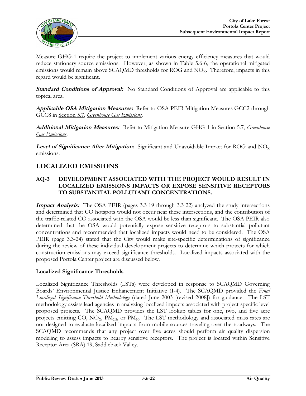

Measure GHG-1 require the project to implement various energy efficiency measures that would reduce stationary source emissions. However, as shown in Table 5.6-6, the operational mitigated emissions would remain above SCAQMD thresholds for ROG and  $NO<sub>x</sub>$ . Therefore, impacts in this regard would be significant.

**Standard Conditions of Approval:** No Standard Conditions of Approval are applicable to this topical area.

**Applicable OSA Mitigation Measures:** Refer to OSA PEIR Mitigation Measures GCC2 through GCC8 in Section 5.7, *Greenhouse Gas Emissions*.

**Additional Mitigation Measures:** Refer to Mitigation Measure GHG-1 in Section 5.7, *Greenhouse Gas Emissions*.

**Level of Significance After Mitigation:** Significant and Unavoidable Impact for ROG and NO<sub>x</sub> emissions.

# **LOCALIZED EMISSIONS**

#### **AQ-3 DEVELOPMENT ASSOCIATED WITH THE PROJECT WOULD RESULT IN LOCALIZED EMISSIONS IMPACTS OR EXPOSE SENSITIVE RECEPTORS TO SUBSTANTIAL POLLUTANT CONCENTRATIONS.**

**Impact Analysis:** The OSA PEIR (pages 3.3-19 through 3.3-22) analyzed the study intersections and determined that CO hotspots would not occur near these intersections, and the contribution of the traffic-related CO associated with the OSA would be less than significant. The OSA PEIR also determined that the OSA would potentially expose sensitive receptors to substantial pollutant concentrations and recommended that localized impacts would need to be considered. The OSA PEIR (page 3.3-24) stated that the City would make site-specific determinations of significance during the review of these individual development projects to determine which projects for which construction emissions may exceed significance thresholds. Localized impacts associated with the proposed Portola Center project are discussed below.

#### **Localized Significance Thresholds**

Localized Significance Thresholds (LSTs) were developed in response to SCAQMD Governing Boards' Environmental Justice Enhancement Initiative (I-4). The SCAQMD provided the *Final Localized Significance Threshold Methodology* (dated June 2003 [revised 2008]) for guidance. The LST methodology assists lead agencies in analyzing localized impacts associated with project-specific level proposed projects. The SCAQMD provides the LST lookup tables for one, two, and five acre projects emitting CO,  $NO_x$ ,  $PM_{2.5}$ , or  $PM_{10}$ . The LST methodology and associated mass rates are not designed to evaluate localized impacts from mobile sources traveling over the roadways. The SCAQMD recommends that any project over five acres should perform air quality dispersion modeling to assess impacts to nearby sensitive receptors. The project is located within Sensitive Receptor Area (SRA) 19, Saddleback Valley.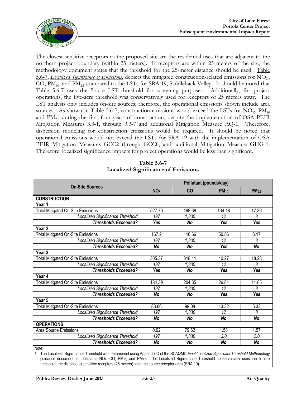

The closest sensitive receptors to the proposed site are the residential uses that are adjacent to the northern project boundary (within 25 meters). If receptors are within 25 meters of the site, the methodology document states that the threshold for the 25-meter distance should be used. Table 5.6-7, *Localized Significance of Emissions*, depicts the mitigated construction-related emissions for NO<sub>x</sub>, CO,  $PM_{10}$ , and  $PM_{25}$  compared to the LSTs for SRA 19, Saddleback Valley. It should be noted that Table 5.6-7 uses the 5-acre LST threshold for screening purposes. Additionally, for project operations, the five-acre threshold was conservatively used for receptors of 25 meters away. The LST analysis only includes on-site sources; therefore, the operational emissions shown include area sources. As shown in Table 5.6-7, construction emissions would exceed the LSTs for NO<sub>x</sub>,  $PM_{10}$ and  $\text{PM}_{2.5}$  during the first four years of construction, despite the implementation of OSA PEIR Mitigation Measures 3.3-1, through 3.3-7 and additional Mitigation Measure AQ-1. Therefore, dispersion modeling for construction emissions would be required. It should be noted that operational emissions would not exceed the LSTs for SRA 19 with the implementation of OSA PEIR Mitigation Measures GCC2 through GCC8, and additional Mitigation Measure GHG-1. Therefore, localized significance impacts for project operations would be less than significant.

|                                          | Pollutant (pounds/day) |           |                 |                   |  |  |
|------------------------------------------|------------------------|-----------|-----------------|-------------------|--|--|
| <b>On-Site Sources</b>                   | <b>NO<sub>X</sub></b>  | CO        | <b>PM10</b>     | PM <sub>2.5</sub> |  |  |
| <b>CONSTRUCTION</b>                      |                        |           |                 |                   |  |  |
| Year 1                                   |                        |           |                 |                   |  |  |
| <b>Total Mitigated On-Site Emissions</b> | 527.70                 | 498.38    | 134.18          | 17.36             |  |  |
| Localized Significance Threshold         | 197                    | 1,830     | 12              | 8                 |  |  |
| <b>Thresholds Exceeded?</b>              | Yes                    | <b>No</b> | Yes             | Yes               |  |  |
| Year <sub>2</sub>                        |                        |           |                 |                   |  |  |
| <b>Total Mitigated On-Site Emissions</b> | 167.2                  | 116.66    | 50.56           | 6.17              |  |  |
| Localized Significance Threshold         | 197                    | 1,830     | 12              | 8                 |  |  |
| <b>Thresholds Exceeded?</b>              | No                     | <b>No</b> | Yes             | No                |  |  |
| Year <sub>3</sub>                        |                        |           |                 |                   |  |  |
| <b>Total Mitigated On-Site Emissions</b> | 305.37                 | 318.11    | 40.27           | 18.28             |  |  |
| Localized Significance Threshold         | 197                    | 1,830     | 12              | 8                 |  |  |
| <b>Thresholds Exceeded?</b>              | Yes                    | No        | Yes             | <b>Yes</b>        |  |  |
| Year 4                                   |                        |           |                 |                   |  |  |
| <b>Total Mitigated On-Site Emissions</b> | 184.39                 | 204.35    | 26.81           | 11.85             |  |  |
| <b>Localized Significance Threshold</b>  | 197                    | 1,830     | $\overline{12}$ | 8                 |  |  |
| <b>Thresholds Exceeded?</b>              | No                     | <b>No</b> | Yes             | Yes               |  |  |
| Year 5                                   |                        |           |                 |                   |  |  |
| <b>Total Mitigated On-Site Emissions</b> | 83.66                  | 99.08     | 13.32           | 5.33              |  |  |
| Localized Significance Threshold         | 197                    | 1,830     | 12              | 8                 |  |  |
| <b>Thresholds Exceeded?</b>              | <b>No</b>              | <b>No</b> | No              | No                |  |  |
| <b>OPERATIONS</b>                        |                        |           |                 |                   |  |  |
| Area Source Emissions                    | 0.92                   | 79.62     | 1.58            | 1.57              |  |  |
| Localized Significance Threshold         | 197                    | 1,830     | 3.0             | 2.0               |  |  |
| <b>Thresholds Exceeded?</b>              | <b>No</b>              | <b>No</b> | <b>No</b>       | No                |  |  |
| Note:                                    |                        |           |                 |                   |  |  |

#### **Table 5.6-7 Localized Significance of Emissions**

Note:

1. The Localized Significance Threshold was determined using Appendix C of the SCAQMD *Final Localized Significant Threshold Methodology* guidance document for pollutants NO<sub>X</sub>, CO, PM<sub>10</sub>, and PM<sub>2.5</sub>. The Localized Significance Threshold conservatively uses the 5 acre threshold, the distance to sensitive receptors (25 meters), and the source receptor area (SRA 19).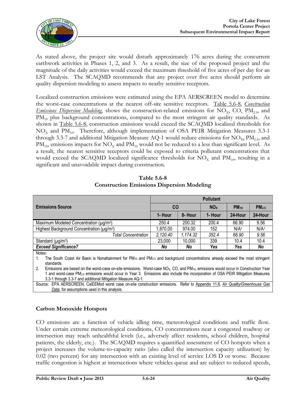

As stated above, the project site would disturb approximately 176 acres during the concurrent earthwork activities in Phases 1, 2, and 3. As a result, the size of the proposed project and the magnitude of the daily activities would exceed the maximum threshold of five acres of per day for an LST Analysis. The SCAQMD recommends that any project over five acres should perform air quality dispersion modeling to assess impacts to nearby sensitive receptors.

Localized construction emissions were estimated using the EPA AERSCREEN model to determine the worst-case concentrations at the nearest off-site sensitive receptors. Table 5.6-8, *Construction Emissions Dispersion Modeling*, shows the construction-related emissions for NO<sub>x</sub>, CO, PM<sub>2.5</sub>, and PM<sub>10</sub> plus background concentrations, compared to the most stringent air quality standards. As shown in Table 5.6-8, construction emissions would exceed the SCAQMD localized thresholds for  $NO<sub>x</sub>$  and  $PM<sub>10</sub>$ . Therefore, although implementation of OSA PEIR Mitigation Measures 3.3-1 through 3.3-7 and additional Mitigation Measure AQ-1 would reduce emissions for  $NO<sub>x</sub>$ ,  $PM<sub>25</sub>$ , and  $PM_{10}$ , emissions impacts for  $NO_x$  and  $PM_{10}$  would not be reduced to a less than significant level. As a result, the nearest sensitive receptors could be exposed to criteria pollutant concentrations that would exceed the SCAQMD localized significance thresholds for  $NO<sub>x</sub>$  and  $PM<sub>10</sub>$ , resulting in a significant and unavoidable impact during construction.

|                                                       | <b>Pollutant</b> |          |                       |                  |                   |  |  |
|-------------------------------------------------------|------------------|----------|-----------------------|------------------|-------------------|--|--|
| <b>Emissions Source</b>                               | <b>CO</b>        |          | <b>NO<sub>x</sub></b> | $PM_{10}$        | PM <sub>2.5</sub> |  |  |
|                                                       | 1- Hour          | 8- Hour  | 1- Hour               | 24-Hour          | 24-Hour           |  |  |
| Maximum Modeled Concentration (µg/m <sup>3</sup> )    | 250.4            | 200.32   | 200.4                 | 66.90            | 9.56              |  |  |
| Highest Background Concentration (µg/m <sup>3</sup> ) | 1,870.00         | 974.00   | 152                   | N/A <sup>1</sup> | N/A <sup>1</sup>  |  |  |
| <b>Total Concentration</b>                            | 2,120.40         | 1,174.32 | 352.4                 | 66.90            | 9.56              |  |  |
| Standard ( $\mu$ g/m <sup>3</sup> )                   | 23,000           | 10,000   | 339                   | 10.4             | 10.4              |  |  |
| <b>Exceed Significance?</b>                           | No               | No       | Yes                   | Yes              | No                |  |  |
| Notes:                                                |                  |          |                       |                  |                   |  |  |

**Table 5.6-8 Construction Emissions Dispersion Modeling**

1. The South Coast Air Basin is Nonattainment for PM<sup>10</sup> and PM2.5 and background concentrations already exceed the most stringent standards.

2. Emissions are based on the worst-case on-site emissions. Worst-case NO<sub>X</sub>, CO, and PM<sub>10</sub>, emissions would occur in Construction Year 1 and worst-case PM2.5 emissions would occur in Year 3. Emissions also include the incorporation of OSA PEIR Mitigation Measures 3.3-1 through 3.3-7 and additional Mitigation Measure AQ-1.

Source: EPA AERSCREEN, CalEEMod worst case on-site construction emissions.Refer to Appendix 11.6, *Air Quality/Greenhouse Gas Data*, for assumptions used in this analysis.

#### **Carbon Monoxide Hotspots**

CO emissions are a function of vehicle idling time, meteorological conditions and traffic flow. Under certain extreme meteorological conditions, CO concentrations near a congested roadway or intersection may reach unhealthful levels (i.e., adversely affect residents, school children, hospital patients, the elderly, etc.). The SCAQMD requires a quantified assessment of CO hotspots when a project increases the volume-to-capacity ratio (also called the intersection capacity utilization) by 0.02 (two percent) for any intersection with an existing level of service LOS D or worse. Because traffic congestion is highest at intersections where vehicles queue and are subject to reduced speeds,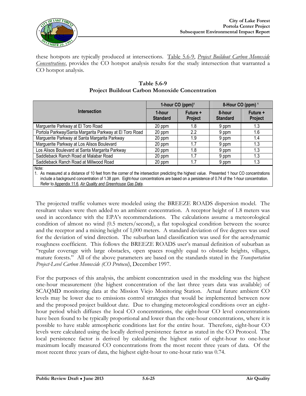

these hotspots are typically produced at intersections. Table 5.6-9, *Project Buildout Carbon Monoxide Concentrations*, provides the CO hotspot analysis results for the study intersection that warranted a CO hotspot analysis.

|                                                                                                                                                                                                                                                                                                                                                           | 1-hour CO (ppm) <sup>1</sup> |                            | 8-Hour CO (ppm) <sup>1</sup> |                            |  |  |  |
|-----------------------------------------------------------------------------------------------------------------------------------------------------------------------------------------------------------------------------------------------------------------------------------------------------------------------------------------------------------|------------------------------|----------------------------|------------------------------|----------------------------|--|--|--|
| <b>Intersection</b>                                                                                                                                                                                                                                                                                                                                       | 1-hour<br><b>Standard</b>    | Future +<br><b>Project</b> | 8-hour<br><b>Standard</b>    | Future +<br><b>Project</b> |  |  |  |
| Marguerite Parkway at El Toro Road                                                                                                                                                                                                                                                                                                                        | 20 ppm                       | 1.8                        | 9 ppm                        | 1.3                        |  |  |  |
| Portola Parkway/Santa Margarita Parkway at El Toro Road                                                                                                                                                                                                                                                                                                   | 20 ppm                       | 2.2                        | 9 ppm                        | 1.6                        |  |  |  |
| Marguerite Parkway at Santa Margarita Parkway                                                                                                                                                                                                                                                                                                             | 20 ppm                       | 1.9                        | 9 ppm                        | 1.4                        |  |  |  |
| Marguerite Parkway at Los Alisos Boulevard                                                                                                                                                                                                                                                                                                                | 20 ppm                       | 1.7                        | 9 ppm                        | 1.3                        |  |  |  |
| Los Alisos Boulevard at Santa Margarita Parkway                                                                                                                                                                                                                                                                                                           | 20 ppm                       | 1.8                        | 9 ppm                        | 1.3                        |  |  |  |
| Saddleback Ranch Road at Malabar Road                                                                                                                                                                                                                                                                                                                     | 20 ppm                       | 1.7                        | 9 ppm                        | 1.3                        |  |  |  |
| Saddleback Ranch Road at Millwood Road                                                                                                                                                                                                                                                                                                                    | 20 ppm                       | 1.7                        | 9 ppm                        | 1.3                        |  |  |  |
| Note:                                                                                                                                                                                                                                                                                                                                                     |                              |                            |                              |                            |  |  |  |
| 1. As measured at a distance of 10 feet from the corner of the intersection predicting the highest value. Presented 1 hour CO concentrations<br>include a background concentration of 1.38 ppm. Eight-hour concentrations are based on a persistence of 0.74 of the 1-hour concentration.<br>Refer to Appendix 11.6, Air Quality and Greenhouse Gas Data. |                              |                            |                              |                            |  |  |  |

#### **Table 5.6-9 Project Buildout Carbon Monoxide Concentration**

The projected traffic volumes were modeled using the BREEZE ROADS dispersion model. The resultant values were then added to an ambient concentration. A receptor height of 1.8 meters was used in accordance with the EPA's recommendations. The calculations assume a meteorological condition of almost no wind (0.5 meters/second), a flat topological condition between the source and the receptor and a mixing height of 1,000 meters. A standard deviation of five degrees was used for the deviation of wind direction. The suburban land classification was used for the aerodynamic roughness coefficient. This follows the BREEZE ROADS user's manual definition of suburban as "regular coverage with large obstacles, open spaces roughly equal to obstacle heights, villages, mature forests." All of the above parameters are based on the standards stated in the *Transportation Project-Level Carbon Monoxide (CO Protocol)*, December 1997.

For the purposes of this analysis, the ambient concentration used in the modeling was the highest one-hour measurement (the highest concentration of the last three years data was available) of SCAQMD monitoring data at the Mission Viejo Monitoring Station. Actual future ambient CO levels may be lower due to emissions control strategies that would be implemented between now and the proposed project buildout date. Due to changing meteorological conditions over an eighthour period which diffuses the local CO concentrations, the eight-hour CO level concentrations have been found to be typically proportional and lower than the one-hour concentrations, where it is possible to have stable atmospheric conditions last for the entire hour. Therefore, eight-hour CO levels were calculated using the locally derived persistence factor as stated in the CO Protocol. The local persistence factor is derived by calculating the highest ratio of eight-hour to one-hour maximum locally measured CO concentrations from the most recent three years of data. Of the most recent three years of data, the highest eight-hour to one-hour ratio was 0.74.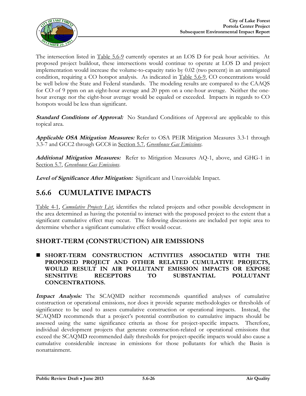

The intersection listed in <u>Table 5.6-9</u> currently operates at an LOS D for peak hour activities. At proposed project buildout, these intersections would continue to operate at LOS D and project implementation would increase the volume-to-capacity ratio by 0.02 (two percent) in an unmitigated condition, requiring a CO hotspot analysis. As indicated in Table 5.6-9, CO concentrations would be well below the State and Federal standards. The modeling results are compared to the CAAQS for CO of 9 ppm on an eight-hour average and 20 ppm on a one-hour average. Neither the onehour average nor the eight-hour average would be equaled or exceeded. Impacts in regards to CO hotspots would be less than significant.

**Standard Conditions of Approval:** No Standard Conditions of Approval are applicable to this topical area.

**Applicable OSA Mitigation Measures:** Refer to OSA PEIR Mitigation Measures 3.3-1 through 3.3-7 and GCC2 through GCC8 in Section 5.7, *Greenhouse Gas Emissions*.

**Additional Mitigation Measures:** Refer to Mitigation Measures AQ-1, above, and GHG-1 in Section 5.7, *Greenhouse Gas Emissions*.

**Level of Significance After Mitigation:** Significant and Unavoidable Impact.

# **5.6.6 CUMULATIVE IMPACTS**

Table 4-1, *Cumulative Projects List*, identifies the related projects and other possible development in the area determined as having the potential to interact with the proposed project to the extent that a significant cumulative effect may occur. The following discussions are included per topic area to determine whether a significant cumulative effect would occur.

### **SHORT-TERM (CONSTRUCTION) AIR EMISSIONS**

 **SHORT-TERM CONSTRUCTION ACTIVITIES ASSOCIATED WITH THE PROPOSED PROJECT AND OTHER RELATED CUMULATIVE PROJECTS, WOULD RESULT IN AIR POLLUTANT EMISSION IMPACTS OR EXPOSE SENSITIVE RECEPTORS TO SUBSTANTIAL POLLUTANT CONCENTRATIONS.**

**Impact Analysis:** The SCAQMD neither recommends quantified analyses of cumulative construction or operational emissions, nor does it provide separate methodologies or thresholds of significance to be used to assess cumulative construction or operational impacts. Instead, the SCAQMD recommends that a project's potential contribution to cumulative impacts should be assessed using the same significance criteria as those for project-specific impacts. Therefore, individual development projects that generate construction-related or operational emissions that exceed the SCAQMD recommended daily thresholds for project-specific impacts would also cause a cumulative considerable increase in emissions for those pollutants for which the Basin is nonattainment.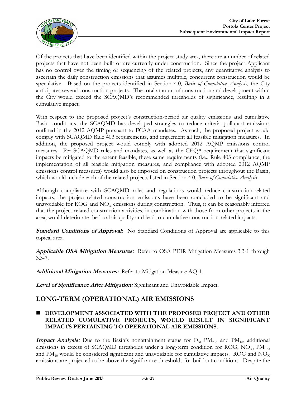

Of the projects that have been identified within the project study area, there are a number of related projects that have not been built or are currently under construction. Since the project Applicant has no control over the timing or sequencing of the related projects, any quantitative analysis to ascertain the daily construction emissions that assumes multiple, concurrent construction would be speculative. Based on the projects identified in Section 4.0, *Basis of Cumulative Analysis*, the City anticipates several construction projects. The total amount of construction and development within the City would exceed the SCAQMD's recommended thresholds of significance, resulting in a cumulative impact.

With respect to the proposed project's construction-period air quality emissions and cumulative Basin conditions, the SCAQMD has developed strategies to reduce criteria pollutant emissions outlined in the 2012 AQMP pursuant to FCAA mandates. As such, the proposed project would comply with SCAQMD Rule 403 requirements, and implement all feasible mitigation measures. In addition, the proposed project would comply with adopted 2012 AQMP emissions control measures. Per SCAQMD rules and mandates, as well as the CEQA requirement that significant impacts be mitigated to the extent feasible, these same requirements (i.e., Rule 403 compliance, the implementation of all feasible mitigation measures, and compliance with adopted 2012 AQMP emissions control measures) would also be imposed on construction projects throughout the Basin, which would include each of the related projects listed in Section 4.0, *Basis of Cumulative Analysis*.

Although compliance with SCAQMD rules and regulations would reduce construction-related impacts, the project-related construction emissions have been concluded to be significant and unavoidable for ROG and  $NO<sub>x</sub>$  emissions during construction. Thus, it can be reasonably inferred that the project-related construction activities, in combination with those from other projects in the area, would deteriorate the local air quality and lead to cumulative construction-related impacts.

**Standard Conditions of Approval:** No Standard Conditions of Approval are applicable to this topical area.

**Applicable OSA Mitigation Measures:** Refer to OSA PEIR Mitigation Measures 3.3-1 through 3.3-7.

**Additional Mitigation Measures:** Refer to Mitigation Measure AQ-1.

**Level of Significance After Mitigation:** Significant and Unavoidable Impact.

# **LONG-TERM (OPERATIONAL) AIR EMISSIONS**

#### **DEVELOPMENT ASSOCIATED WITH THE PROPOSED PROJECT AND OTHER RELATED CUMULATIVE PROJECTS, WOULD RESULT IN SIGNIFICANT IMPACTS PERTAINING TO OPERATIONAL AIR EMISSIONS.**

**Impact Analysis:** Due to the Basin's nonattainment status for  $O_3$ ,  $PM_{2.5}$ , and  $PM_{10}$ , additional emissions in excess of SCAQMD thresholds under a long-term condition for ROG,  $NO<sub>x</sub>$ ,  $PM<sub>2.5</sub>$ , and  $\text{PM}_{10}$  would be considered significant and unavoidable for cumulative impacts. ROG and  $\text{NO}_\text{X}$ emissions are projected to be above the significance thresholds for buildout conditions. Despite the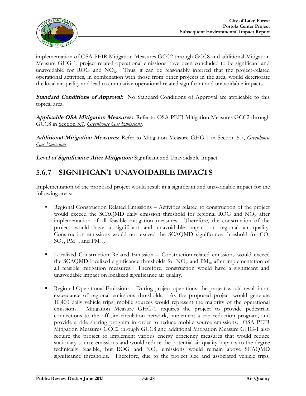

implementation of OSA PEIR Mitigation Measures GCC2 through GCC8 and additional Mitigation Measure GHG-1, project-related operational emissions have been concluded to be significant and unavoidable for ROG and  $NO<sub>x</sub>$ . Thus, it can be reasonably inferred that the project-related operational activities, in combination with those from other projects in the area, would deteriorate the local air quality and lead to cumulative operational-related significant and unavoidable impacts.

**Standard Conditions of Approval:** No Standard Conditions of Approval are applicable to this topical area.

**Applicable OSA Mitigation Measures:** Refer to OSA PEIR Mitigation Measures GCC2 through GCC8 in Section 5.7, *Greenhouse Gas Emissions*.

**Additional Mitigation Measures:** Refer to Mitigation Measure GHG-1 in Section 5.7, *Greenhouse Gas Emissions*.

**Level of Significance After Mitigation:** Significant and Unavoidable Impact.

# **5.6.7 SIGNIFICANT UNAVOIDABLE IMPACTS**

Implementation of the proposed project would result in a significant and unavoidable impact for the following areas:

- Regional Construction Related Emissions Activities related to construction of the project would exceed the SCAQMD daily emission threshold for regional ROG and  $NO<sub>x</sub>$  after implementation of all feasible mitigation measures. Therefore, the construction of the project would have a significant and unavoidable impact on regional air quality. Construction emissions would not exceed the SCAQMD significance threshold for CO,  $SO_x$ , PM<sub>10</sub>, and PM<sub>2.5</sub>.
- Localized Construction Related Emission Construction-related emissions would exceed the SCAQMD localized significance thresholds for  $NO<sub>x</sub>$  and  $PM<sub>10</sub>$  after implementation of all feasible mitigation measures. Therefore, construction would have a significant and unavoidable impact on localized significance air quality.
- Regional Operational Emissions During project operations, the project would result in an exceedance of regional emissions thresholds. As the proposed project would generate 10,400 daily vehicle trips, mobile sources would represent the majority of the operational emissions. Mitigation Measure GHG-1 requires the project to provide pedestrian connections to the off-site circulation network, implement a trip reduction program, and provide a ride sharing program in order to reduce mobile source emissions. OSA PEIR Mitigation Measures GCC2 through GCC8 and additional Mitigation Measure GHG-1 also require the project to implement various energy efficiency measures that would reduce stationary source emissions and would reduce the potential air quality impacts to the degree technically feasible, but ROG and  $NO<sub>x</sub>$  emissions would remain above SCAQMD significance thresholds. Therefore, due to the project size and associated vehicle trips,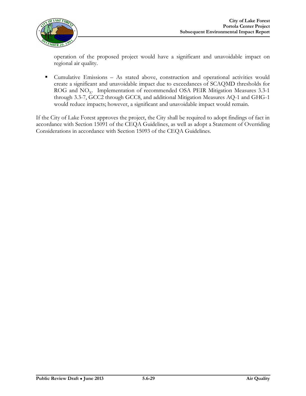

operation of the proposed project would have a significant and unavoidable impact on regional air quality.

 Cumulative Emissions – As stated above, construction and operational activities would create a significant and unavoidable impact due to exceedances of SCAQMD thresholds for ROG and NO<sub>x</sub>. Implementation of recommended OSA PEIR Mitigation Measures 3.3-1 through 3.3-7, GCC2 through GCC8, and additional Mitigation Measures AQ-1 and GHG-1 would reduce impacts; however, a significant and unavoidable impact would remain.

If the City of Lake Forest approves the project, the City shall be required to adopt findings of fact in accordance with Section 15091 of the CEQA Guidelines, as well as adopt a Statement of Overriding Considerations in accordance with Section 15093 of the CEQA Guidelines.